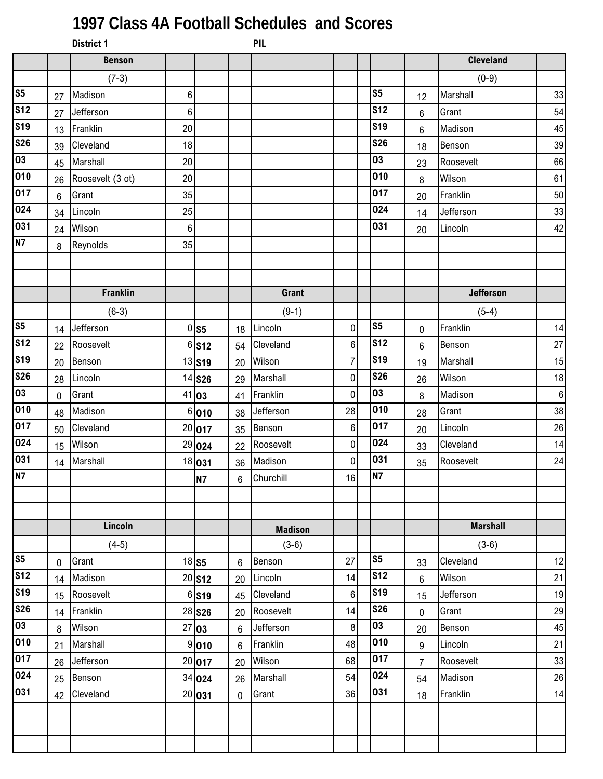## **1997 Class 4A Football Schedules and Scores**

|                |    | <b>District 1</b> |    |                     |                 | <b>PIL</b>     |                |                |                |                  |         |
|----------------|----|-------------------|----|---------------------|-----------------|----------------|----------------|----------------|----------------|------------------|---------|
|                |    | <b>Benson</b>     |    |                     |                 |                |                |                |                | <b>Cleveland</b> |         |
|                |    | $(7-3)$           |    |                     |                 |                |                |                |                | $(0-9)$          |         |
| s <sub>5</sub> | 27 | Madison           | 6  |                     |                 |                |                | S <sub>5</sub> | 12             | Marshall         | 33      |
| <b>S12</b>     | 27 | Jefferson         | 6  |                     |                 |                |                | <b>S12</b>     | 6              | Grant            | 54      |
| <b>S19</b>     | 13 | Franklin          | 20 |                     |                 |                |                | <b>S19</b>     | 6              | Madison          | 45      |
| <b>S26</b>     | 39 | Cleveland         | 18 |                     |                 |                |                | <b>S26</b>     | 18             | Benson           | 39      |
| 03             | 45 | Marshall          | 20 |                     |                 |                |                | 03             | 23             | Roosevelt        | 66      |
| 010            | 26 | Roosevelt (3 ot)  | 20 |                     |                 |                |                | 010            | 8              | Wilson           | 61      |
| 017            | 6  | Grant             | 35 |                     |                 |                |                | 017            | 20             | Franklin         | 50      |
| 024            | 34 | Lincoln           | 25 |                     |                 |                |                | 024            | 14             | Jefferson        | 33      |
| 031            | 24 | Wilson            | 6  |                     |                 |                |                | 031            | 20             | Lincoln          | 42      |
| <b>N7</b>      | 8  | Reynolds          | 35 |                     |                 |                |                |                |                |                  |         |
|                |    |                   |    |                     |                 |                |                |                |                |                  |         |
|                |    |                   |    |                     |                 |                |                |                |                |                  |         |
|                |    | <b>Franklin</b>   |    |                     |                 | <b>Grant</b>   |                |                |                | <b>Jefferson</b> |         |
|                |    | $(6-3)$           |    |                     |                 | $(9-1)$        |                |                |                | $(5-4)$          |         |
| S <sub>5</sub> | 14 | Jefferson         |    | $0$ S5              | 18              | Lincoln        | 0              | S <sub>5</sub> | 0              | Franklin         | 14      |
| <b>S12</b>     | 22 | Roosevelt         |    | $6$ S <sub>12</sub> | 54              | Cleveland      | 6              | <b>S12</b>     | $6\phantom{1}$ | Benson           | 27      |
| <b>S19</b>     | 20 | Benson            |    | 13 S19              | 20              | Wilson         | $\overline{7}$ | <b>S19</b>     | 19             | Marshall         | 15      |
| <b>S26</b>     | 28 | Lincoln           |    | 14 S26              | 29              | Marshall       | 0              | <b>S26</b>     | 26             | Wilson           | 18      |
| 03             | 0  | Grant             |    | 41 03               | 41              | Franklin       | 0              | 03             | 8              | Madison          | $\bf 6$ |
| 010            | 48 | Madison           |    | 6 010               | 38              | Jefferson      | 28             | 010            | 28             | Grant            | 38      |
| 017            | 50 | Cleveland         |    | 20 017              | 35              | Benson         | 6              | 017            | 20             | Lincoln          | 26      |
| 024            | 15 | Wilson            |    | 29 024              | 22              | Roosevelt      | 0              | 024            | 33             | Cleveland        | 14      |
| 031            | 14 | Marshall          |    | 18 031              | 36              | Madison        | 0              | 031            | 35             | Roosevelt        | 24      |
| N7             |    |                   |    | <b>N7</b>           | $6\overline{6}$ | Churchill      | 16             | N7             |                |                  |         |
|                |    |                   |    |                     |                 |                |                |                |                |                  |         |
|                |    |                   |    |                     |                 |                |                |                |                |                  |         |
|                |    | Lincoln           |    |                     |                 | <b>Madison</b> |                |                |                | <b>Marshall</b>  |         |
|                |    | $(4-5)$           |    |                     |                 | $(3-6)$        |                |                |                | $(3-6)$          |         |
| s <sub>5</sub> | 0  | Grant             |    | 18 <sub>S5</sub>    | 6               | Benson         | 27             | S <sub>5</sub> | 33             | Cleveland        | 12      |
| <b>S12</b>     | 14 | Madison           |    | 20 S12              | 20              | Lincoln        | 14             | <b>S12</b>     | 6              | Wilson           | 21      |
| <b>S19</b>     | 15 | Roosevelt         |    | $6$ S <sub>19</sub> | 45              | Cleveland      | 6              | <b>S19</b>     | 15             | Jefferson        | 19      |
| <b>S26</b>     | 14 | Franklin          |    | 28 S26              | 20              | Roosevelt      | 14             | <b>S26</b>     | 0              | Grant            | 29      |
| 03             | 8  | Wilson            |    | 27 03               | 6               | Jefferson      | 8              | 03             | 20             | Benson           | 45      |
| 010            | 21 | Marshall          |    | 9 010               | 6               | Franklin       | 48             | 010            | 9              | Lincoln          | 21      |
| 017            | 26 | Jefferson         |    | 20 017              | 20              | Wilson         | 68             | 017            | $\overline{7}$ | Roosevelt        | 33      |
| 024            | 25 | Benson            |    | 34 024              | 26              | Marshall       | 54             | 024            | 54             | Madison          | 26      |
| 031            | 42 | Cleveland         |    | 20 031              | $\mathbf 0$     | Grant          | 36             | 031            | 18             | Franklin         | 14      |
|                |    |                   |    |                     |                 |                |                |                |                |                  |         |
|                |    |                   |    |                     |                 |                |                |                |                |                  |         |
|                |    |                   |    |                     |                 |                |                |                |                |                  |         |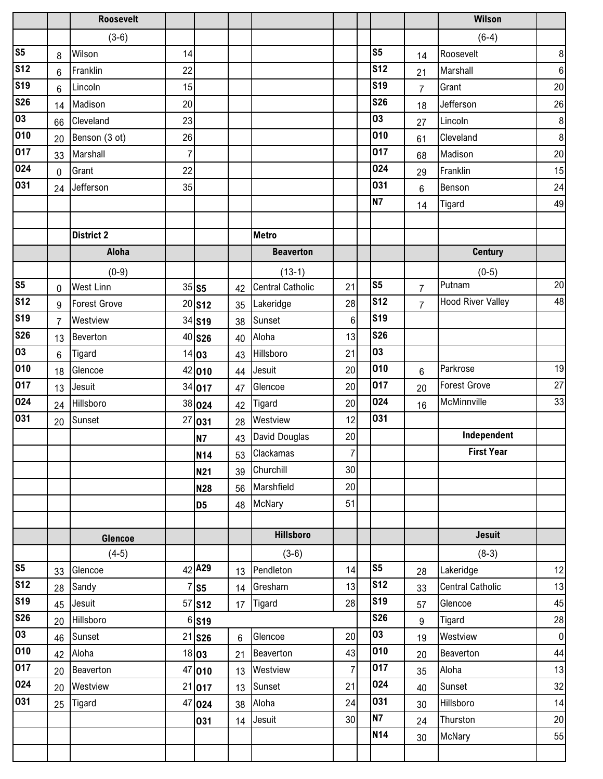|                 |                | <b>Roosevelt</b>    |    |                     |                |                         |                  |                |                | <b>Wilson</b>            |                  |
|-----------------|----------------|---------------------|----|---------------------|----------------|-------------------------|------------------|----------------|----------------|--------------------------|------------------|
|                 |                | $(3-6)$             |    |                     |                |                         |                  |                |                | $(6-4)$                  |                  |
| S <sub>5</sub>  | 8              | Wilson              | 14 |                     |                |                         |                  | S <sub>5</sub> | 14             | Roosevelt                | $\boldsymbol{8}$ |
| <b>S12</b>      | $6\phantom{1}$ | Franklin            | 22 |                     |                |                         |                  | <b>S12</b>     | 21             | Marshall                 | $\boldsymbol{6}$ |
| <b>S19</b>      | 6              | Lincoln             | 15 |                     |                |                         |                  | <b>S19</b>     | $\overline{7}$ | Grant                    | 20               |
| <b>S26</b>      | 14             | Madison             | 20 |                     |                |                         |                  | <b>S26</b>     | 18             | Jefferson                | 26               |
| 03              | 66             | Cleveland           | 23 |                     |                |                         |                  | 03             | 27             | Lincoln                  | $\boldsymbol{8}$ |
| 010             | 20             | Benson (3 ot)       | 26 |                     |                |                         |                  | 010            | 61             | Cleveland                | $\boldsymbol{8}$ |
| 017             | 33             | Marshall            | 7  |                     |                |                         |                  | 017            | 68             | Madison                  | 20               |
| 024             | $\mathbf 0$    | Grant               | 22 |                     |                |                         |                  | 024            | 29             | Franklin                 | 15               |
| 031             | 24             | Jefferson           | 35 |                     |                |                         |                  | 031            | 6              | Benson                   | 24               |
|                 |                |                     |    |                     |                |                         |                  | <b>N7</b>      | 14             | Tigard                   | 49               |
|                 |                |                     |    |                     |                |                         |                  |                |                |                          |                  |
|                 |                | <b>District 2</b>   |    |                     |                | <b>Metro</b>            |                  |                |                |                          |                  |
|                 |                | Aloha               |    |                     |                | <b>Beaverton</b>        |                  |                |                | <b>Century</b>           |                  |
|                 |                | $(0-9)$             |    |                     |                | $(13-1)$                |                  |                |                | $(0-5)$                  |                  |
| s <sub>5</sub>  | 0              | <b>West Linn</b>    |    | $35$ S5             | 42             | <b>Central Catholic</b> | 21               | S <sub>5</sub> | $\overline{7}$ | Putnam                   | 20               |
| S <sub>12</sub> | 9              | <b>Forest Grove</b> |    | 20 S12              | 35             | Lakeridge               | 28               | <b>S12</b>     | $\overline{7}$ | <b>Hood River Valley</b> | 48               |
| <b>S19</b>      | $\overline{7}$ | Westview            |    | 34 S19              | 38             | Sunset                  | 6                | <b>S19</b>     |                |                          |                  |
| <b>S26</b>      | 13             | Beverton            |    | 40 S26              | 40             | Aloha                   | 13               | <b>S26</b>     |                |                          |                  |
| 03              | 6              | Tigard              |    | 14 03               | 43             | Hillsboro               | 21               | 03             |                |                          |                  |
| 010             | 18             | Glencoe             |    | 42 010              | 44             | Jesuit                  | 20               | 010            | 6              | Parkrose                 | 19               |
| 017             | 13             | Jesuit              |    | 34 017              | 47             | Glencoe                 | 20               | 017            | 20             | <b>Forest Grove</b>      | 27               |
| 024             | 24             | Hillsboro           |    | 38 024              | 42             | Tigard                  | 20               | 024            | 16             | McMinnville              | 33               |
| 031             | 20             | Sunset              |    | 27 031              | 28             | Westview                | 12               | 031            |                |                          |                  |
|                 |                |                     |    | <b>N7</b>           | 43             | David Douglas           | $20\,$           |                |                | Independent              |                  |
|                 |                |                     |    | <b>N14</b>          |                | 53 Clackamas            | $\boldsymbol{7}$ |                |                | <b>First Year</b>        |                  |
|                 |                |                     |    | <b>N21</b>          | 39             | Churchill               | 30               |                |                |                          |                  |
|                 |                |                     |    | <b>N28</b>          |                | 56 Marshfield           | 20               |                |                |                          |                  |
|                 |                |                     |    | D <sub>5</sub>      |                | 48 McNary               | 51               |                |                |                          |                  |
|                 |                |                     |    |                     |                |                         |                  |                |                |                          |                  |
|                 |                | Glencoe             |    |                     |                | <b>Hillsboro</b>        |                  |                |                | <b>Jesuit</b>            |                  |
|                 |                | $(4-5)$             |    |                     |                | $(3-6)$                 |                  |                |                | $(8-3)$                  |                  |
| S <sub>5</sub>  | 33             | Glencoe             |    | 42 A29              | 13             | Pendleton               | 14               | S <sub>5</sub> | 28             | Lakeridge                | 12               |
| <b>S12</b>      | 28             | Sandy               |    | $7$ S5              | 14             | Gresham                 | 13               | <b>S12</b>     | 33             | <b>Central Catholic</b>  | 13               |
| <b>S19</b>      | 45             | Jesuit              |    | 57 <b>S12</b>       | 17             | Tigard                  | 28               | <b>S19</b>     | 57             | Glencoe                  | 45               |
| <b>S26</b>      | 20             | Hillsboro           |    | $6$ S <sub>19</sub> |                |                         |                  | <b>S26</b>     | 9              | Tigard                   | 28               |
| 03              | 46             | Sunset              |    | $21$ S26            | $6\phantom{1}$ | Glencoe                 | 20               | 03             | 19             | Westview                 | $\overline{0}$   |
| 010             | 42             | Aloha               |    | 18 03               | 21             | Beaverton               | 43               | 010            | 20             | Beaverton                | 44               |
| 017             | 20             | Beaverton           |    | 47 010              | 13             | Westview                | $\overline{7}$   | 017            | 35             | Aloha                    | 13               |
| 024             | 20             | Westview            |    | 21 017              | 13             | Sunset                  | 21               | 024            | 40             | Sunset                   | 32               |
| 031             | 25             | Tigard              |    | 47 024              | 38             | Aloha                   | 24               | 031            | 30             | Hillsboro                | 14               |
|                 |                |                     |    | 031                 | 14             | Jesuit                  | 30               | <b>N7</b>      | 24             | Thurston                 | $20\,$           |
|                 |                |                     |    |                     |                |                         |                  | N14            | 30             | McNary                   | 55               |
|                 |                |                     |    |                     |                |                         |                  |                |                |                          |                  |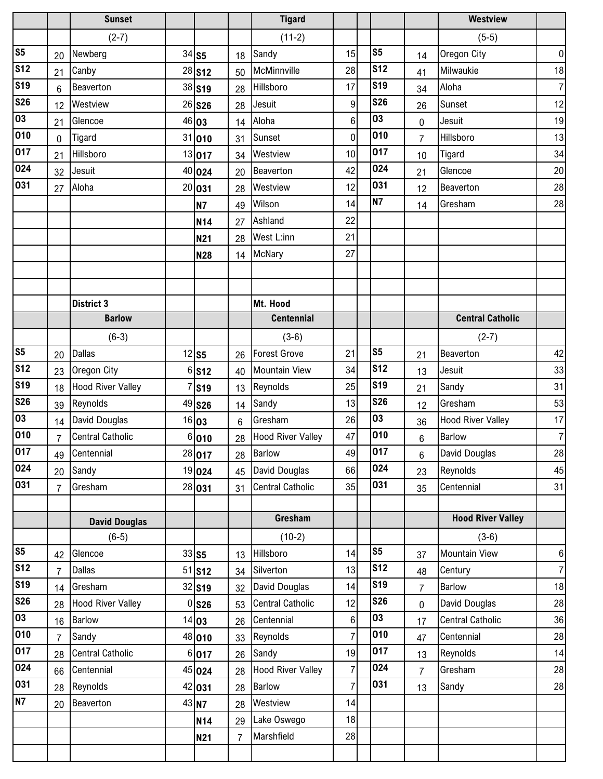|                         |                | <b>Sunset</b>            |    |               |                | <b>Tigard</b>            |                  |                |                | <b>Westview</b>          |                  |
|-------------------------|----------------|--------------------------|----|---------------|----------------|--------------------------|------------------|----------------|----------------|--------------------------|------------------|
|                         |                | $(2-7)$                  |    |               |                | $(11-2)$                 |                  |                |                | $(5-5)$                  |                  |
| S <sub>5</sub>          | 20             | Newberg                  |    | $34$ S5       | 18             | Sandy                    | 15               | S <sub>5</sub> | 14             | Oregon City              | $\overline{0}$   |
| s <sub>12</sub>         | 21             | Canby                    |    | 28 S12        | 50             | McMinnville              | 28               | <b>S12</b>     | 41             | Milwaukie                | 18               |
| <b>S19</b>              | 6              | Beaverton                |    | 38 S19        | 28             | Hillsboro                | 17               | <b>S19</b>     | 34             | Aloha                    | $\overline{7}$   |
| <b>S26</b>              | 12             | Westview                 |    | 26 S26        | 28             | Jesuit                   | $\boldsymbol{9}$ | <b>S26</b>     | 26             | Sunset                   | 12               |
| 03                      | 21             | Glencoe                  |    | 46 03         | 14             | Aloha                    | 6                | 03             | 0              | Jesuit                   | 19               |
| 010                     | $\mathbf 0$    | <b>Tigard</b>            |    | 31 010        | 31             | Sunset                   | $\mathbf 0$      | 010            | $\overline{7}$ | Hillsboro                | 13               |
| 017                     | 21             | Hillsboro                |    | 13 017        | 34             | Westview                 | 10               | 017            | 10             | Tigard                   | 34               |
| 024                     | 32             | Jesuit                   | 40 | 024           | 20             | Beaverton                | 42               | 024            | 21             | Glencoe                  | 20               |
| 031                     | 27             | Aloha                    | 20 | 031           | 28             | Westview                 | 12               | 031            | 12             | Beaverton                | 28               |
|                         |                |                          |    | <b>N7</b>     | 49             | Wilson                   | 14               | N <sub>7</sub> | 14             | Gresham                  | 28               |
|                         |                |                          |    | <b>N14</b>    | 27             | Ashland                  | 22               |                |                |                          |                  |
|                         |                |                          |    | N21           | 28             | West L:inn               | 21               |                |                |                          |                  |
|                         |                |                          |    | N28           | 14             | <b>McNary</b>            | 27               |                |                |                          |                  |
|                         |                |                          |    |               |                |                          |                  |                |                |                          |                  |
|                         |                |                          |    |               |                |                          |                  |                |                |                          |                  |
|                         |                | <b>District 3</b>        |    |               |                | Mt. Hood                 |                  |                |                |                          |                  |
|                         |                | <b>Barlow</b>            |    |               |                | <b>Centennial</b>        |                  |                |                | <b>Central Catholic</b>  |                  |
|                         |                | $(6-3)$                  |    |               |                | $(3-6)$                  |                  |                |                | $(2-7)$                  |                  |
| S <sub>5</sub>          | 20             | <b>Dallas</b>            |    | $12$ S5       | 26             | <b>Forest Grove</b>      | 21               | S <sub>5</sub> | 21             | Beaverton                | 42               |
| $\overline{\text{S12}}$ | 23             | Oregon City              | 6  | <b>S12</b>    | 40             | <b>Mountain View</b>     | 34               | <b>S12</b>     | 13             | Jesuit                   | 33               |
| <b>S19</b>              | 18             | <b>Hood River Valley</b> |    | <b>S19</b>    | 13             | Reynolds                 | 25               | <b>S19</b>     | 21             | Sandy                    | 31               |
| <b>S26</b>              | 39             | Reynolds                 |    | 49 S26        | 14             | Sandy                    | 13               | <b>S26</b>     | 12             | Gresham                  | 53               |
| 03                      | 14             | David Douglas            |    | 16 03         | $6\phantom{1}$ | Gresham                  | 26               | 03             | 36             | <b>Hood River Valley</b> | 17               |
| 010                     | $\overline{7}$ | <b>Central Catholic</b>  |    | 6 010         | 28             | <b>Hood River Valley</b> | 47               | 010            | 6              | <b>Barlow</b>            | $\overline{7}$   |
| 017                     | 49             | Centennial               |    | 28 017        |                | 28 Barlow                | 49               | 017            | 6              | David Douglas            | 28               |
| 024                     | 20             | Sandy                    |    | 19 024        | 45             | David Douglas            | 66               | 024            | 23             | Reynolds                 | 45               |
| 031                     | $\overline{7}$ | Gresham                  |    | 28 031        | 31             | <b>Central Catholic</b>  | 35               | 031            | 35             | Centennial               | 31               |
|                         |                |                          |    |               |                |                          |                  |                |                |                          |                  |
|                         |                | <b>David Douglas</b>     |    |               |                | Gresham                  |                  |                |                | <b>Hood River Valley</b> |                  |
|                         |                | $(6-5)$                  |    |               |                | $(10-2)$                 |                  |                |                | $(3-6)$                  |                  |
| S <sub>5</sub>          | 42             | Glencoe                  |    | $33$ S5       | 13             | Hillsboro                | 14               | S <sub>5</sub> | 37             | <b>Mountain View</b>     | $6 \overline{6}$ |
| S <sub>12</sub>         | $\overline{7}$ | <b>Dallas</b>            |    | 51 <b>S12</b> | 34             | Silverton                | 13               | <b>S12</b>     | 48             | Century                  | $\overline{7}$   |
| <b>S19</b>              | 14             | Gresham                  |    | 32 S19        | 32             | David Douglas            | 14               | <b>S19</b>     | $\overline{7}$ | <b>Barlow</b>            | 18               |
| $\overline{\text{S26}}$ | 28             | <b>Hood River Valley</b> |    | $0$ S26       | 53             | <b>Central Catholic</b>  | 12               | <b>S26</b>     | 0              | David Douglas            | 28               |
| $\overline{03}$         | 16             | <b>Barlow</b>            |    | 14 03         | 26             | Centennial               | $6 \,$           | 03             | 17             | <b>Central Catholic</b>  | 36               |
| 010                     | $\overline{7}$ | Sandy                    |    | 48 010        | 33             | Reynolds                 | $\overline{7}$   | 010            | 47             | Centennial               | 28               |
| 017                     | 28             | <b>Central Catholic</b>  |    | 6 017         | 26             | Sandy                    | 19               | 017            | 13             | Reynolds                 | 14               |
| 024                     | 66             | Centennial               |    | 45 024        | 28             | <b>Hood River Valley</b> | 7                | 024            | $\overline{7}$ | Gresham                  | 28               |
| 031                     | 28             | Reynolds                 |    | 42 031        | 28             | <b>Barlow</b>            | $\overline{7}$   | 031            | 13             | Sandy                    | 28               |
| N7                      | 20             | Beaverton                |    | 43 N7         | 28             | Westview                 | 14               |                |                |                          |                  |
|                         |                |                          |    | N14           | 29             | Lake Oswego              | 18               |                |                |                          |                  |
|                         |                |                          |    | N21           | $\overline{7}$ | Marshfield               | 28               |                |                |                          |                  |
|                         |                |                          |    |               |                |                          |                  |                |                |                          |                  |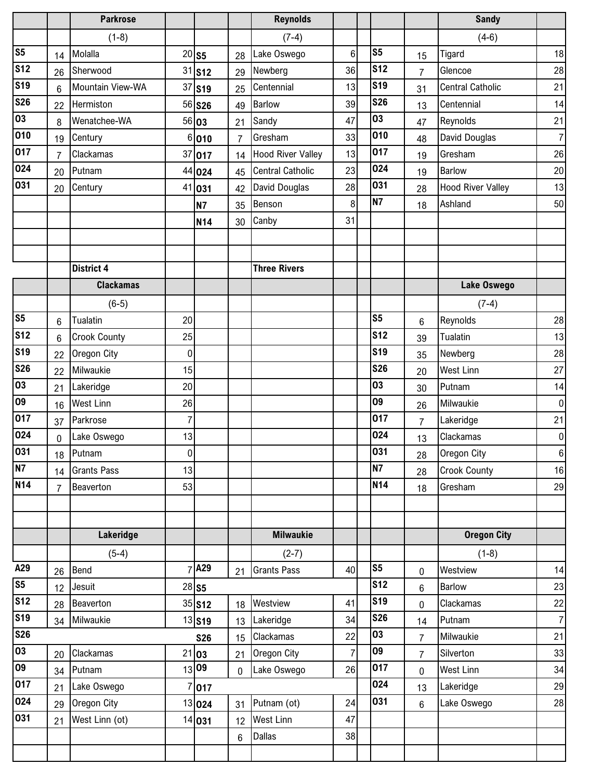|                 |                | <b>Parkrose</b>     |                  |                    |                | <b>Reynolds</b>          |                |                          |                | <b>Sandy</b>             |                |
|-----------------|----------------|---------------------|------------------|--------------------|----------------|--------------------------|----------------|--------------------------|----------------|--------------------------|----------------|
|                 |                | $(1-8)$             |                  |                    |                | $(7-4)$                  |                |                          |                | $(4-6)$                  |                |
| S <sub>5</sub>  | 14             | Molalla             |                  | $20$ S5            | 28             | Lake Oswego              | 6              | S <sub>5</sub>           | 15             | Tigard                   | 18             |
| <b>S12</b>      | 26             | Sherwood            |                  | $31$ S12           | 29             | Newberg                  | 36             | <b>S12</b>               | $\overline{7}$ | Glencoe                  | 28             |
| <b>S19</b>      | 6              | Mountain View-WA    | 37               | <b>S19</b>         | 25             | Centennial               | 13             | <b>S19</b>               | 31             | <b>Central Catholic</b>  | 21             |
| <b>S26</b>      | 22             | Hermiston           |                  | 56 <b>S26</b>      | 49             | <b>Barlow</b>            | 39             | <b>S26</b>               | 13             | Centennial               | 14             |
| 03              | 8              | Wenatchee-WA        |                  | 56 03              | 21             | Sandy                    | 47             | 03                       | 47             | Reynolds                 | 21             |
| 010             | 19             | Century             |                  | 6 010              | $\overline{7}$ | Gresham                  | 33             | 010                      | 48             | David Douglas            | $\overline{7}$ |
| 017             | $\overline{7}$ | Clackamas           |                  | 37 017             | 14             | <b>Hood River Valley</b> | 13             | 017                      | 19             | Gresham                  | 26             |
| 024             | 20             | Putnam              | 44               | 024                | 45             | <b>Central Catholic</b>  | 23             | 024                      | 19             | <b>Barlow</b>            | 20             |
| 031             | 20             | Century             | 41               | 031                | 42             | David Douglas            | 28             | 031                      | 28             | <b>Hood River Valley</b> | 13             |
|                 |                |                     |                  | <b>N7</b>          | 35             | Benson                   | 8              | <b>N7</b>                | 18             | Ashland                  | 50             |
|                 |                |                     |                  | <b>N14</b>         | 30             | Canby                    | 31             |                          |                |                          |                |
|                 |                |                     |                  |                    |                |                          |                |                          |                |                          |                |
|                 |                |                     |                  |                    |                |                          |                |                          |                |                          |                |
|                 |                | <b>District 4</b>   |                  |                    |                | <b>Three Rivers</b>      |                |                          |                |                          |                |
|                 |                | <b>Clackamas</b>    |                  |                    |                |                          |                |                          |                | <b>Lake Oswego</b>       |                |
|                 |                | $(6-5)$             |                  |                    |                |                          |                |                          |                | $(7-4)$                  |                |
| S <sub>5</sub>  | 6              | Tualatin            | 20               |                    |                |                          |                | S <sub>5</sub>           | 6              | Reynolds                 | 28             |
| s <sub>12</sub> | 6              | <b>Crook County</b> | 25               |                    |                |                          |                | <b>S12</b>               | 39             | Tualatin                 | 13             |
| <b>S19</b>      | 22             | Oregon City         | 0                |                    |                |                          |                | <b>S19</b>               | 35             | Newberg                  | 28             |
| <b>S26</b>      | 22             | Milwaukie           | 15               |                    |                |                          |                | <b>S26</b>               | 20             | <b>West Linn</b>         | 27             |
| 03              | 21             | Lakeridge           | 20               |                    |                |                          |                | 03                       | 30             | Putnam                   | 14             |
| 09              | 16             | <b>West Linn</b>    | 26               |                    |                |                          |                | 09                       | 26             | Milwaukie                | $\overline{0}$ |
| 017             | 37             | Parkrose            | 7                |                    |                |                          |                | 017                      | $\overline{7}$ | Lakeridge                | 21             |
| 024             | 0              | Lake Oswego         | 13               |                    |                |                          |                | 024                      | 13             | Clackamas                | $\overline{0}$ |
| 031             |                | 18 Putnam           | $\boldsymbol{0}$ |                    |                |                          |                | 031                      | 28             | Oregon City              | 6 <sup>1</sup> |
| <b>N7</b>       | 14             | <b>Grants Pass</b>  | 13               |                    |                |                          |                | <b>N7</b>                | 28             | <b>Crook County</b>      | 16             |
| <b>N14</b>      | $\overline{7}$ | Beaverton           | 53               |                    |                |                          |                | <b>N14</b>               | 18             | Gresham                  | 29             |
|                 |                |                     |                  |                    |                |                          |                |                          |                |                          |                |
|                 |                |                     |                  |                    |                |                          |                |                          |                |                          |                |
|                 |                | Lakeridge           |                  |                    |                | <b>Milwaukie</b>         |                |                          |                | <b>Oregon City</b>       |                |
|                 |                | $(5-4)$             |                  |                    |                | $(2-7)$                  |                |                          |                | $(1-8)$                  |                |
| A29             | 26             | Bend                |                  | A29                | 21             | <b>Grants Pass</b>       | 40             | S <sub>5</sub>           | 0              | Westview                 | 14             |
| S <sub>5</sub>  | 12             | Jesuit              |                  | $28$ S5            |                |                          |                | <b>S12</b><br><b>S19</b> | 6              | <b>Barlow</b>            | 23             |
| <b>S12</b>      | 28             | Beaverton           |                  | $35$ S12           | 18             | Westview                 | 41             | <b>S26</b>               | 0              | Clackamas                | 22             |
| <b>S19</b>      | 34             | Milwaukie           |                  | 13 S <sub>19</sub> | 13             | Lakeridge                | 34             | 03                       | 14             | Putnam                   | 7              |
| <b>S26</b>      |                |                     |                  | <b>S26</b>         | 15             | Clackamas                | 22             | 09                       | $\overline{7}$ | Milwaukie                | 21             |
| 03              | 20             | Clackamas           |                  | 21 03              | 21             | Oregon City              | $\overline{7}$ | 017                      | $\overline{7}$ | Silverton                | 33             |
| 09              | 34             | Putnam              |                  | 13 09              | $\mathbf 0$    | Lake Oswego              | 26             | 024                      | 0              | <b>West Linn</b>         | 34             |
| 017             | 21             | Lake Oswego         |                  | 017                |                |                          |                | 031                      | 13             | Lakeridge                | 29             |
| 024             | 29             | Oregon City         |                  | 13 024             | 31             | Putnam (ot)              | 24             |                          | 6              | Lake Oswego              | 28             |
| 031             | 21             | West Linn (ot)      |                  | 14 031             | 12             | <b>West Linn</b>         | 47             |                          |                |                          |                |
|                 |                |                     |                  |                    | $6\phantom{1}$ | <b>Dallas</b>            | 38             |                          |                |                          |                |
|                 |                |                     |                  |                    |                |                          |                |                          |                |                          |                |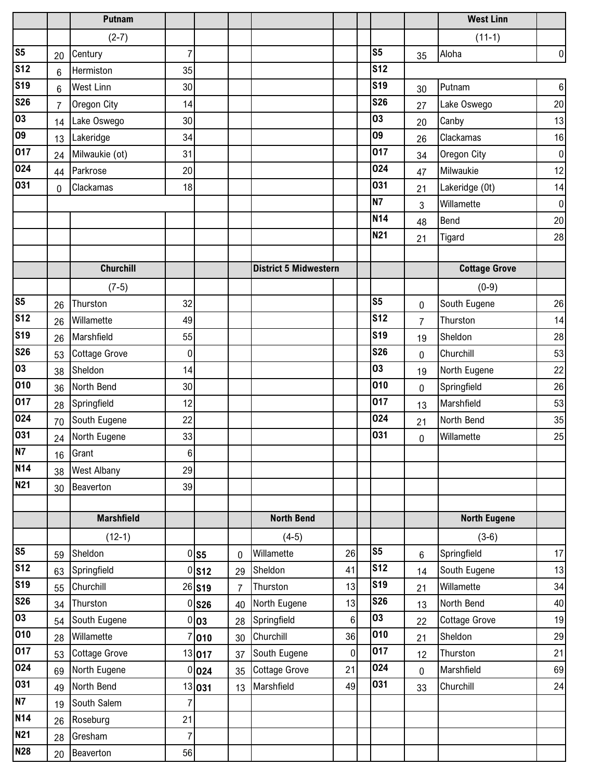|                |                | Putnam               |                |          |                |                              |    |                          |    | <b>West Linn</b>     |                |
|----------------|----------------|----------------------|----------------|----------|----------------|------------------------------|----|--------------------------|----|----------------------|----------------|
|                |                | $(2-7)$              |                |          |                |                              |    |                          |    | $(11-1)$             |                |
| S <sub>5</sub> | 20             | Century              | 7              |          |                |                              |    | S <sub>5</sub>           | 35 | Aloha                | $\overline{0}$ |
| <b>S12</b>     | $6\phantom{1}$ | Hermiston            | 35             |          |                |                              |    | <b>S12</b>               |    |                      |                |
| <b>S19</b>     | $6\phantom{1}$ | <b>West Linn</b>     | 30             |          |                |                              |    | <b>S19</b>               | 30 | Putnam               | $\,6\,$        |
| <b>S26</b>     | $\overline{7}$ | Oregon City          | 14             |          |                |                              |    | <b>S26</b>               | 27 | Lake Oswego          | 20             |
| 03             | 14             | Lake Oswego          | 30             |          |                |                              |    | 03                       | 20 | Canby                | 13             |
| 09             | 13             | Lakeridge            | 34             |          |                |                              |    | 09                       | 26 | Clackamas            | 16             |
| 017            | 24             | Milwaukie (ot)       | 31             |          |                |                              |    | 017                      | 34 | Oregon City          | $\pmb{0}$      |
| 024            | 44             | Parkrose             | 20             |          |                |                              |    | 024                      | 47 | Milwaukie            | 12             |
| 031            | 0              | Clackamas            | 18             |          |                |                              |    | 031                      | 21 | Lakeridge (0t)       | 14             |
|                |                |                      |                |          |                |                              |    | <b>N7</b>                | 3  | Willamette           | $\bf{0}$       |
|                |                |                      |                |          |                |                              |    | <b>N14</b>               | 48 | Bend                 | 20             |
|                |                |                      |                |          |                |                              |    | <b>N21</b>               | 21 | Tigard               | 28             |
|                |                |                      |                |          |                |                              |    |                          |    |                      |                |
|                |                | <b>Churchill</b>     |                |          |                | <b>District 5 Midwestern</b> |    |                          |    | <b>Cottage Grove</b> |                |
|                |                | $(7-5)$              |                |          |                |                              |    |                          |    | $(0-9)$              |                |
| S <sub>5</sub> | 26             | Thurston             | 32             |          |                |                              |    | S <sub>5</sub>           | 0  | South Eugene         | 26             |
| <b>S12</b>     | 26             | Willamette           | 49             |          |                |                              |    | <b>S12</b>               | 7  | Thurston             | 14             |
| <b>S19</b>     | 26             | Marshfield           | 55             |          |                |                              |    | <b>S19</b>               | 19 | Sheldon              | 28             |
| <b>S26</b>     | 53             | <b>Cottage Grove</b> | $\mathbf 0$    |          |                |                              |    | <b>S26</b>               | 0  | Churchill            | 53             |
| 03             | 38             | Sheldon              | 14             |          |                |                              |    | 03                       | 19 | North Eugene         | 22             |
| 010            | 36             | North Bend           | 30             |          |                |                              |    | 010                      | 0  | Springfield          | 26             |
| 017            | 28             | Springfield          | 12             |          |                |                              |    | 017                      | 13 | Marshfield           | 53             |
| 024            | 70             | South Eugene         | 22             |          |                |                              |    | 024                      | 21 | North Bend           | 35             |
| 031            | 24             | North Eugene         | 33             |          |                |                              |    | 031                      | 0  | Willamette           | 25             |
| <b>N7</b>      | 16             | Grant                | $6 \mid$       |          |                |                              |    |                          |    |                      |                |
| <b>N14</b>     | 38             | <b>West Albany</b>   | 29             |          |                |                              |    |                          |    |                      |                |
| <b>N21</b>     | 30             | Beaverton            | 39             |          |                |                              |    |                          |    |                      |                |
|                |                |                      |                |          |                |                              |    |                          |    |                      |                |
|                |                | <b>Marshfield</b>    |                |          |                | <b>North Bend</b>            |    |                          |    | <b>North Eugene</b>  |                |
|                |                | $(12-1)$             |                |          |                | $(4-5)$                      |    |                          |    | $(3-6)$              |                |
| S <sub>5</sub> | 59             | Sheldon              |                | $0$ S5   | 0              | Willamette                   | 26 | S <sub>5</sub>           | 6  | Springfield          | 17             |
| <b>S12</b>     | 63             | Springfield          |                | 0 S12    | 29             | Sheldon                      | 41 | $\overline{\text{S}}$ 12 | 14 | South Eugene         | 13             |
| <b>S19</b>     | 55             | Churchill            |                | $26$ S19 | $\overline{7}$ | Thurston                     | 13 | <b>S19</b>               | 21 | Willamette           | 34             |
| <b>S26</b>     | 34             | Thurston             |                | $0$ S26  | 40             | North Eugene                 | 13 | <b>S26</b>               | 13 | North Bend           | 40             |
| 03             | 54             | South Eugene         |                | 0 03     | 28             | Springfield                  | 6  | 03                       | 22 | <b>Cottage Grove</b> | 19             |
| 010            | 28             | Willamette           |                | 7 010    | 30             | Churchill                    | 36 | 010                      | 21 | Sheldon              | 29             |
| 017            | 53             | <b>Cottage Grove</b> |                | 13 017   | 37             | South Eugene                 | 0  | 017                      | 12 | Thurston             | 21             |
| 024            | 69             | North Eugene         |                | 0 024    | 35             | <b>Cottage Grove</b>         | 21 | 024                      | 0  | Marshfield           | 69             |
| 031            | 49             | North Bend           |                | 13 031   | 13             | Marshfield                   | 49 | 031                      | 33 | Churchill            | 24             |
| N7             | 19             | South Salem          | 7              |          |                |                              |    |                          |    |                      |                |
| <b>N14</b>     | 26             | Roseburg             | 21             |          |                |                              |    |                          |    |                      |                |
| <b>N21</b>     | 28             | Gresham              | $\overline{7}$ |          |                |                              |    |                          |    |                      |                |
| <b>N28</b>     | 20             | Beaverton            | 56             |          |                |                              |    |                          |    |                      |                |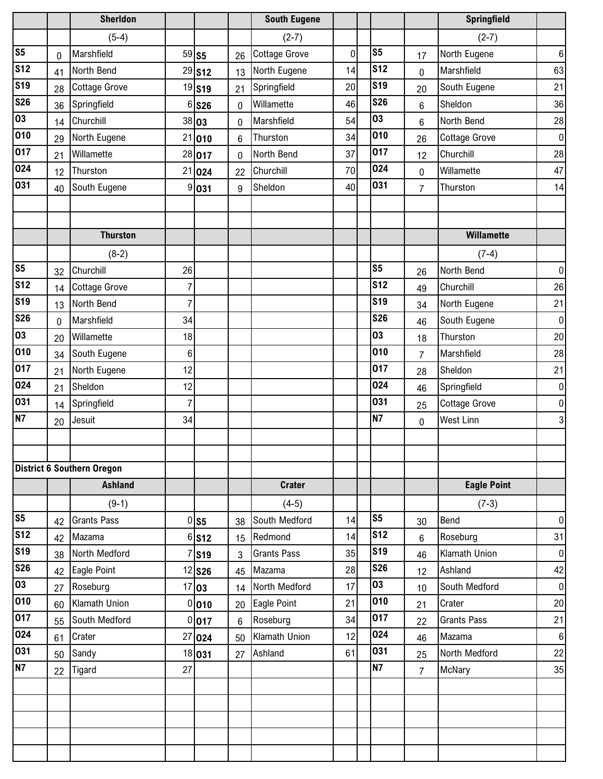|                |    | <b>Sherldon</b>                   |    |                     |              | <b>South Eugene</b>  |    |                |                | Springfield          |                  |
|----------------|----|-----------------------------------|----|---------------------|--------------|----------------------|----|----------------|----------------|----------------------|------------------|
|                |    | $(5-4)$                           |    |                     |              | $(2-7)$              |    |                |                | $(2-7)$              |                  |
| S <sub>5</sub> | 0  | Marshfield                        |    | $59$ S5             | 26           | <b>Cottage Grove</b> | 0  | S <sub>5</sub> | 17             | North Eugene         | $\boldsymbol{6}$ |
| <b>S12</b>     | 41 | North Bend                        |    | 29 S12              | 13           | North Eugene         | 14 | <b>S12</b>     | 0              | Marshfield           | 63               |
| <b>S19</b>     | 28 | <b>Cottage Grove</b>              |    | 19 <sub>S19</sub>   | 21           | Springfield          | 20 | <b>S19</b>     | 20             | South Eugene         | 21               |
| <b>S26</b>     | 36 | Springfield                       |    | 6 S26               | $\mathbf{0}$ | Willamette           | 46 | <b>S26</b>     | 6              | Sheldon              | 36               |
| 03             | 14 | Churchill                         |    | 38 03               | $\mathbf{0}$ | Marshfield           | 54 | 03             | 6              | North Bend           | 28               |
| 010            | 29 | North Eugene                      |    | 21 010              | 6            | Thurston             | 34 | 010            | 26             | <b>Cottage Grove</b> | $\overline{0}$   |
| 017            | 21 | Willamette                        |    | 28 017              | 0            | North Bend           | 37 | 017            | 12             | Churchill            | 28               |
| 024            | 12 | Thurston                          |    | 21 024              | 22           | Churchill            | 70 | 024            | 0              | Willamette           | 47               |
| 031            | 40 | South Eugene                      |    | 9 031               | 9            | Sheldon              | 40 | 031            | $\overline{7}$ | Thurston             | 14               |
|                |    |                                   |    |                     |              |                      |    |                |                |                      |                  |
|                |    |                                   |    |                     |              |                      |    |                |                |                      |                  |
|                |    | <b>Thurston</b>                   |    |                     |              |                      |    |                |                | Willamette           |                  |
|                |    | $(8-2)$                           |    |                     |              |                      |    |                |                | $(7-4)$              |                  |
| S <sub>5</sub> | 32 | Churchill                         | 26 |                     |              |                      |    | S <sub>5</sub> | 26             | North Bend           | $\overline{0}$   |
| <b>S12</b>     | 14 | <b>Cottage Grove</b>              | 7  |                     |              |                      |    | <b>S12</b>     | 49             | Churchill            | 26               |
| <b>S19</b>     | 13 | North Bend                        | 7  |                     |              |                      |    | <b>S19</b>     | 34             | North Eugene         | 21               |
| <b>S26</b>     | 0  | Marshfield                        | 34 |                     |              |                      |    | <b>S26</b>     | 46             | South Eugene         | $\overline{0}$   |
| 03             | 20 | Willamette                        | 18 |                     |              |                      |    | 03             | 18             | Thurston             | 20               |
| 010            | 34 | South Eugene                      | 6  |                     |              |                      |    | 010            | $\overline{7}$ | Marshfield           | 28               |
| 017            | 21 | North Eugene                      | 12 |                     |              |                      |    | 017            | 28             | Sheldon              | 21               |
| 024            | 21 | Sheldon                           | 12 |                     |              |                      |    | 024            | 46             | Springfield          | $\overline{0}$   |
| 031            | 14 | Springfield                       | 7  |                     |              |                      |    | 031            | 25             | <b>Cottage Grove</b> | $\overline{0}$   |
| <b>N7</b>      | 20 | Jesuit                            | 34 |                     |              |                      |    | <b>N7</b>      | 0              | West Linn            | $\mathbf{3}$     |
|                |    |                                   |    |                     |              |                      |    |                |                |                      |                  |
|                |    |                                   |    |                     |              |                      |    |                |                |                      |                  |
|                |    | <b>District 6 Southern Oregon</b> |    |                     |              |                      |    |                |                |                      |                  |
|                |    | <b>Ashland</b>                    |    |                     |              | <b>Crater</b>        |    |                |                | <b>Eagle Point</b>   |                  |
|                |    | $(9-1)$                           |    |                     |              | $(4-5)$              |    |                |                | $(7-3)$              |                  |
| S <sub>5</sub> | 42 | <b>Grants Pass</b>                |    | 0 S5                | 38           | South Medford        | 14 | S <sub>5</sub> | 30             | Bend                 | $\overline{0}$   |
| <b>S12</b>     | 42 | Mazama                            |    | $6$ S <sub>12</sub> | 15           | Redmond              | 14 | <b>S12</b>     | 6              | Roseburg             | 31               |
| <b>S19</b>     | 38 | North Medford                     |    | $7$ S <sub>19</sub> | 3            | <b>Grants Pass</b>   | 35 | <b>S19</b>     | 46             | Klamath Union        | $\overline{0}$   |
| <b>S26</b>     | 42 | Eagle Point                       |    | $12$ S26            | 45           | Mazama               | 28 | <b>S26</b>     | 12             | Ashland              | 42               |
| 03             | 27 | Roseburg                          |    | 17 03               | 14           | North Medford        | 17 | 03             | 10             | South Medford        | $\overline{0}$   |
| 010            | 60 | Klamath Union                     |    | 0 010               | 20           | Eagle Point          | 21 | 010            | 21             | Crater               | 20               |
| 017            | 55 | South Medford                     |    | 0 017               | 6            | Roseburg             | 34 | 017            | 22             | <b>Grants Pass</b>   | 21               |
| 024            | 61 | Crater                            |    | 27 024              | 50           | Klamath Union        | 12 | 024            | 46             | Mazama               | $\bf 6$          |
| 031            | 50 | Sandy                             |    | 18 031              | 27           | Ashland              | 61 | 031            | 25             | North Medford        | 22               |
| <b>N7</b>      | 22 | Tigard                            | 27 |                     |              |                      |    | <b>N7</b>      | $\overline{7}$ | McNary               | 35               |
|                |    |                                   |    |                     |              |                      |    |                |                |                      |                  |
|                |    |                                   |    |                     |              |                      |    |                |                |                      |                  |
|                |    |                                   |    |                     |              |                      |    |                |                |                      |                  |
|                |    |                                   |    |                     |              |                      |    |                |                |                      |                  |
|                |    |                                   |    |                     |              |                      |    |                |                |                      |                  |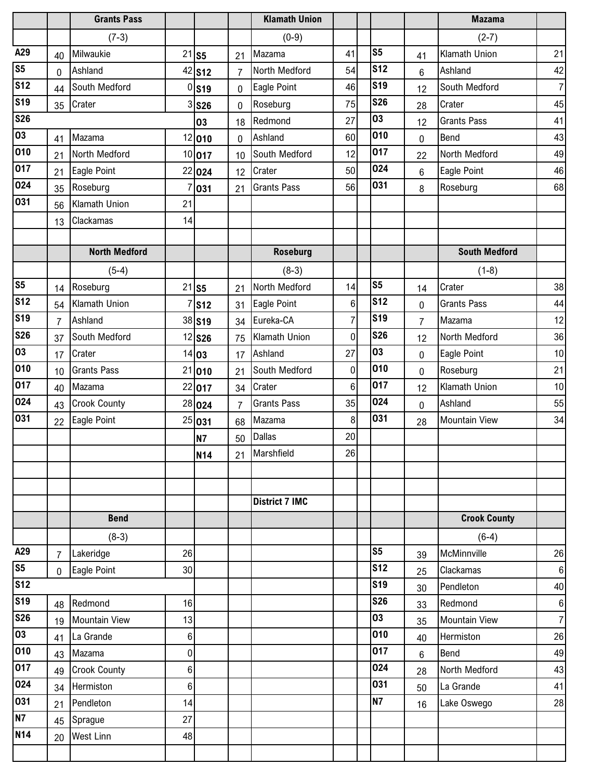|                 |                | <b>Grants Pass</b>   |    |                     |    | <b>Klamath Union</b>  |                |                |                | <b>Mazama</b>          |                        |
|-----------------|----------------|----------------------|----|---------------------|----|-----------------------|----------------|----------------|----------------|------------------------|------------------------|
|                 |                | $(7-3)$              |    |                     |    | $(0-9)$               |                |                |                | $(2-7)$                |                        |
| A29             | 40             | Milwaukie            |    | $21$ S5             | 21 | Mazama                | 41             | S <sub>5</sub> | 41             | Klamath Union          | 21                     |
| S <sub>5</sub>  | 0              | Ashland              |    | 42 S12              | 7  | North Medford         | 54             | <b>S12</b>     | $6\phantom{1}$ | Ashland                | 42                     |
| <b>S12</b>      | 44             | South Medford        | 0  | <b>S19</b>          | 0  | Eagle Point           | 46             | <b>S19</b>     | 12             | South Medford          | $\overline{7}$         |
| <b>S19</b>      | 35             | Crater               |    | $3$ S <sub>26</sub> | 0  | Roseburg              | 75             | <b>S26</b>     | 28             | Crater                 | 45                     |
| <b>S26</b>      |                |                      |    | 03                  | 18 | Redmond               | 27             | 03             | 12             | <b>Grants Pass</b>     | 41                     |
| 03              | 41             | Mazama               |    | 12 010              | 0  | Ashland               | 60             | 010            | 0              | Bend                   | 43                     |
| 010             | 21             | North Medford        |    | 10 017              | 10 | South Medford         | 12             | 017            | 22             | North Medford          | 49                     |
| 017             | 21             | Eagle Point          |    | 22 024              | 12 | Crater                | 50             | 024            | 6              | Eagle Point            | 46                     |
| 024             | 35             | Roseburg             | 7  | 031                 | 21 | <b>Grants Pass</b>    | 56             | 031            | 8              | Roseburg               | 68                     |
| 031             | 56             | Klamath Union        | 21 |                     |    |                       |                |                |                |                        |                        |
|                 | 13             | Clackamas            | 14 |                     |    |                       |                |                |                |                        |                        |
|                 |                |                      |    |                     |    |                       |                |                |                |                        |                        |
|                 |                | <b>North Medford</b> |    |                     |    | <b>Roseburg</b>       |                |                |                | <b>South Medford</b>   |                        |
|                 |                | $(5-4)$              |    |                     |    | $(8-3)$               |                |                |                | $(1-8)$                |                        |
| S <sub>5</sub>  | 14             | Roseburg             |    | $21$ S5             | 21 | North Medford         | 14             | S <sub>5</sub> | 14             | Crater                 | 38                     |
| S <sub>12</sub> | 54             | Klamath Union        |    | <b>S12</b>          | 31 | Eagle Point           | 6              | <b>S12</b>     | 0              | <b>Grants Pass</b>     | 44                     |
| <b>S19</b>      | $\overline{7}$ | Ashland              |    | 38 <b>S19</b>       | 34 | Eureka-CA             | $\overline{7}$ | <b>S19</b>     | $\overline{7}$ | Mazama                 | 12                     |
| <b>S26</b>      | 37             | South Medford        |    | 12 <b>S26</b>       | 75 | <b>Klamath Union</b>  | $\mathbf 0$    | <b>S26</b>     | 12             | North Medford          | 36                     |
| $\overline{03}$ | 17             | Crater               |    | 14 03               | 17 | Ashland               | 27             | 03             | 0              | Eagle Point            | 10                     |
| 010             | 10             | <b>Grants Pass</b>   |    | 21 010              | 21 | South Medford         | 0              | 010            | 0              | Roseburg               | 21                     |
| 017             | 40             | Mazama               |    | 22 017              | 34 | Crater                | 6              | 017            | 12             | <b>Klamath Union</b>   | 10                     |
| 024             | 43             | <b>Crook County</b>  |    | 28 024              | 7  | <b>Grants Pass</b>    | 35             | 024            | 0              | Ashland                | 55                     |
| 031             | 22             | Eagle Point          |    | 25 031              | 68 | Mazama                | 8              | 031            | 28             | <b>Mountain View</b>   | 34                     |
|                 |                |                      |    | <b>N7</b>           | 50 | <b>Dallas</b>         | 20             |                |                |                        |                        |
|                 |                |                      |    | <b>N14</b>          | 21 | Marshfield            | 26             |                |                |                        |                        |
|                 |                |                      |    |                     |    |                       |                |                |                |                        |                        |
|                 |                |                      |    |                     |    |                       |                |                |                |                        |                        |
|                 |                |                      |    |                     |    | <b>District 7 IMC</b> |                |                |                |                        |                        |
|                 |                | <b>Bend</b>          |    |                     |    |                       |                |                |                | <b>Crook County</b>    |                        |
| A29             |                | $(8-3)$              |    |                     |    |                       |                | S <sub>5</sub> |                | $(6-4)$<br>McMinnville |                        |
| S <sub>5</sub>  | $\overline{7}$ | Lakeridge            | 26 |                     |    |                       |                | <b>S12</b>     | 39             |                        | 26                     |
| <b>S12</b>      | $\overline{0}$ | Eagle Point          | 30 |                     |    |                       |                | <b>S19</b>     | 25             | Clackamas<br>Pendleton | $6 \overline{6}$<br>40 |
| <b>S19</b>      |                | Redmond              | 16 |                     |    |                       |                | <b>S26</b>     | 30             | Redmond                | $\bf 6$                |
| <b>S26</b>      | 48<br>19       | <b>Mountain View</b> | 13 |                     |    |                       |                | 03             | 33<br>35       | <b>Mountain View</b>   | $\overline{7}$         |
| 03              | 41             | La Grande            | 6  |                     |    |                       |                | 010            |                | Hermiston              | 26                     |
| 010             | 43             | Mazama               | 0  |                     |    |                       |                | 017            | 40<br>6        | Bend                   | 49                     |
| 017             | 49             | <b>Crook County</b>  | 6  |                     |    |                       |                | 024            | 28             | North Medford          | 43                     |
| 024             | 34             | Hermiston            | 6  |                     |    |                       |                | 031            | 50             | La Grande              | 41                     |
| 031             | 21             | Pendleton            | 14 |                     |    |                       |                | <b>N7</b>      | 16             | Lake Oswego            | 28                     |
| N7              | 45             | Sprague              | 27 |                     |    |                       |                |                |                |                        |                        |
| <b>N14</b>      | 20             | <b>West Linn</b>     | 48 |                     |    |                       |                |                |                |                        |                        |
|                 |                |                      |    |                     |    |                       |                |                |                |                        |                        |
|                 |                |                      |    |                     |    |                       |                |                |                |                        |                        |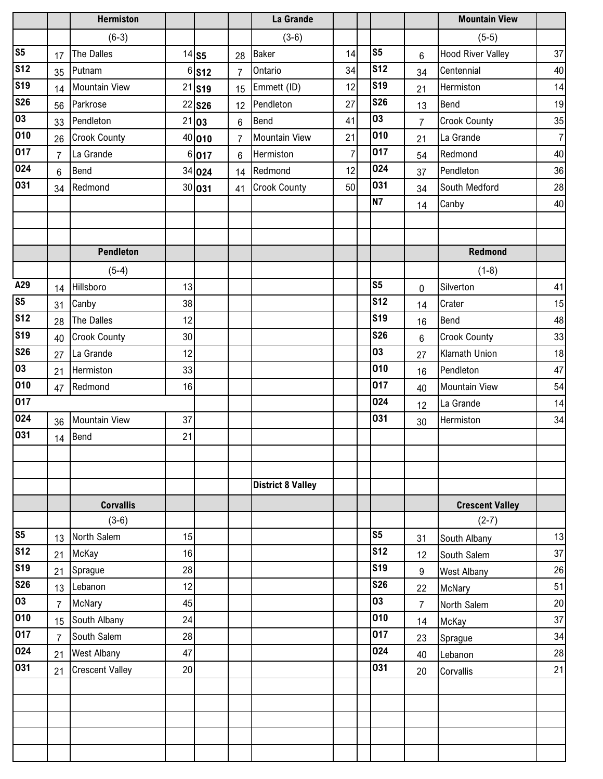|                 |                | <b>Hermiston</b>       |    |                      |                | La Grande                |                |                |                | <b>Mountain View</b>     |    |
|-----------------|----------------|------------------------|----|----------------------|----------------|--------------------------|----------------|----------------|----------------|--------------------------|----|
|                 |                | $(6-3)$                |    |                      |                | $(3-6)$                  |                |                |                | $(5-5)$                  |    |
| S <sub>5</sub>  | 17             | The Dalles             |    | $14$ S5              | 28             | <b>Baker</b>             | 14             | S <sub>5</sub> | 6              | <b>Hood River Valley</b> | 37 |
| <b>S12</b>      | 35             | Putnam                 |    | $6$ S <sub>12</sub>  | $\overline{7}$ | Ontario                  | 34             | <b>S12</b>     | 34             | Centennial               | 40 |
| <b>S19</b>      | 14             | <b>Mountain View</b>   |    | $21$ S <sub>19</sub> | 15             | Emmett (ID)              | 12             | <b>S19</b>     | 21             | Hermiston                | 14 |
| <b>S26</b>      | 56             | Parkrose               |    | 22 <b>S26</b>        | 12             | Pendleton                | 27             | <b>S26</b>     | 13             | <b>Bend</b>              | 19 |
| 03              | 33             | Pendleton              |    | 21 03                | $6\phantom{1}$ | <b>Bend</b>              | 41             | 03             | $\overline{7}$ | <b>Crook County</b>      | 35 |
| 010             | 26             | <b>Crook County</b>    |    | 40 010               | $\overline{7}$ | <b>Mountain View</b>     | 21             | 010            | 21             | La Grande                | 7  |
| 017             | $\overline{7}$ | La Grande              |    | 6 017                | 6              | Hermiston                | $\overline{7}$ | 017            | 54             | Redmond                  | 40 |
| 024             | 6              | Bend                   |    | 34 024               | 14             | Redmond                  | 12             | 024            | 37             | Pendleton                | 36 |
| 031             | 34             | Redmond                |    | 30 031               | 41             | <b>Crook County</b>      | 50             | 031            | 34             | South Medford            | 28 |
|                 |                |                        |    |                      |                |                          |                | <b>N7</b>      | 14             | Canby                    | 40 |
|                 |                |                        |    |                      |                |                          |                |                |                |                          |    |
|                 |                |                        |    |                      |                |                          |                |                |                |                          |    |
|                 |                | <b>Pendleton</b>       |    |                      |                |                          |                |                |                | Redmond                  |    |
|                 |                | $(5-4)$                |    |                      |                |                          |                |                |                | $(1-8)$                  |    |
| A29             | 14             | Hillsboro              | 13 |                      |                |                          |                | S <sub>5</sub> | 0              | Silverton                | 41 |
| S <sub>5</sub>  | 31             | Canby                  | 38 |                      |                |                          |                | <b>S12</b>     | 14             | Crater                   | 15 |
| <b>S12</b>      | 28             | The Dalles             | 12 |                      |                |                          |                | <b>S19</b>     | 16             | <b>Bend</b>              | 48 |
| <b>S19</b>      | 40             | <b>Crook County</b>    | 30 |                      |                |                          |                | <b>S26</b>     | 6              | <b>Crook County</b>      | 33 |
| <b>S26</b>      | 27             | La Grande              | 12 |                      |                |                          |                | 03             | 27             | <b>Klamath Union</b>     | 18 |
| 03              | 21             | Hermiston              | 33 |                      |                |                          |                | 010            | 16             | Pendleton                | 47 |
| 010             | 47             | Redmond                | 16 |                      |                |                          |                | 017            | 40             | <b>Mountain View</b>     | 54 |
| 017             |                |                        |    |                      |                |                          |                | 024            | 12             | La Grande                | 14 |
| 024             | 36             | <b>Mountain View</b>   | 37 |                      |                |                          |                | 031            | 30             | Hermiston                | 34 |
| 031             | 14             | Bend                   | 21 |                      |                |                          |                |                |                |                          |    |
|                 |                |                        |    |                      |                |                          |                |                |                |                          |    |
|                 |                |                        |    |                      |                |                          |                |                |                |                          |    |
|                 |                |                        |    |                      |                | <b>District 8 Valley</b> |                |                |                |                          |    |
|                 |                | <b>Corvallis</b>       |    |                      |                |                          |                |                |                | <b>Crescent Valley</b>   |    |
|                 |                | $(3-6)$                |    |                      |                |                          |                |                |                | $(2-7)$                  |    |
| S <sub>5</sub>  | 13             | North Salem            | 15 |                      |                |                          |                | S <sub>5</sub> | 31             | South Albany             | 13 |
| S <sub>12</sub> | 21             | McKay                  | 16 |                      |                |                          |                | <b>S12</b>     | 12             | South Salem              | 37 |
| <b>S19</b>      | 21             | Sprague                | 28 |                      |                |                          |                | <b>S19</b>     | 9              | <b>West Albany</b>       | 26 |
| <b>S26</b>      | 13             | Lebanon                | 12 |                      |                |                          |                | <b>S26</b>     | 22             | McNary                   | 51 |
| $\overline{03}$ | $\overline{7}$ | McNary                 | 45 |                      |                |                          |                | 03             | $\overline{7}$ | North Salem              | 20 |
| 010             | 15             | South Albany           | 24 |                      |                |                          |                | 010            | 14             | McKay                    | 37 |
| 017             | $\overline{7}$ | South Salem            | 28 |                      |                |                          |                | 017            | 23             | Sprague                  | 34 |
| 024             | 21             | <b>West Albany</b>     | 47 |                      |                |                          |                | 024            | 40             | Lebanon                  | 28 |
| 031             | 21             | <b>Crescent Valley</b> | 20 |                      |                |                          |                | 031            | 20             | Corvallis                | 21 |
|                 |                |                        |    |                      |                |                          |                |                |                |                          |    |
|                 |                |                        |    |                      |                |                          |                |                |                |                          |    |
|                 |                |                        |    |                      |                |                          |                |                |                |                          |    |
|                 |                |                        |    |                      |                |                          |                |                |                |                          |    |
|                 |                |                        |    |                      |                |                          |                |                |                |                          |    |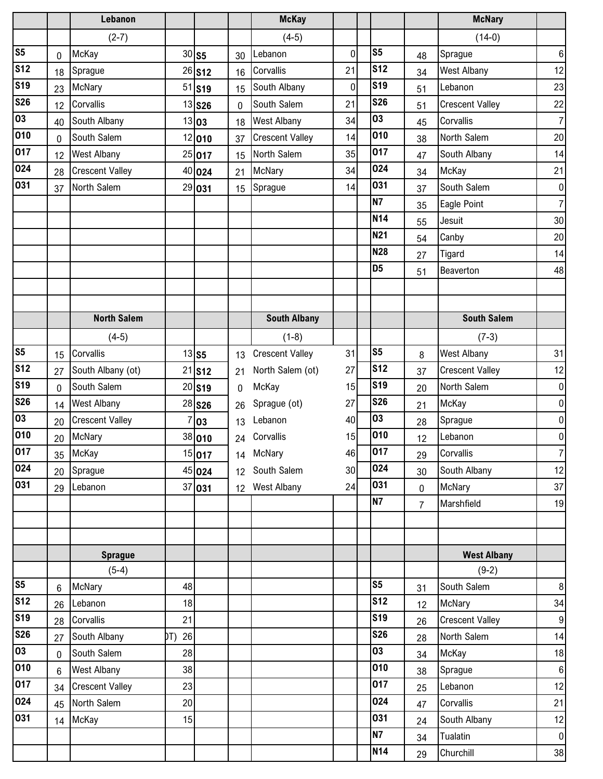|                         |                | Lebanon                |           |               |                 | <b>McKay</b>           |    |                  |                | <b>McNary</b>          |                  |
|-------------------------|----------------|------------------------|-----------|---------------|-----------------|------------------------|----|------------------|----------------|------------------------|------------------|
|                         |                | $(2-7)$                |           |               |                 | $(4-5)$                |    |                  |                | $(14-0)$               |                  |
| S <sub>5</sub>          | 0              | McKay                  |           | $30$ S5       | 30              | Lebanon                | 0  | S <sub>5</sub>   | 48             | Sprague                | $\boldsymbol{6}$ |
| <b>S12</b>              | 18             | Sprague                |           | 26 <b>S12</b> | 16              | Corvallis              | 21 | <b>S12</b>       | 34             | <b>West Albany</b>     | 12               |
| <b>S19</b>              | 23             | McNary                 |           | 51 <b>S19</b> | 15              | South Albany           | 0  | <b>S19</b>       | 51             | Lebanon                | 23               |
| <b>S26</b>              | 12             | Corvallis              |           | 13 <b>S26</b> | $\mathbf{0}$    | South Salem            | 21 | <b>S26</b>       | 51             | <b>Crescent Valley</b> | 22               |
| 03                      | 40             | South Albany           |           | 13 03         | 18              | <b>West Albany</b>     | 34 | 03               | 45             | Corvallis              | $\overline{7}$   |
| 010                     | 0              | South Salem            |           | 12 010        | 37              | <b>Crescent Valley</b> | 14 | $\overline{010}$ | 38             | North Salem            | 20               |
| 017                     | 12             | <b>West Albany</b>     |           | 25 017        | 15              | North Salem            | 35 | 017              | 47             | South Albany           | 14               |
| 024                     | 28             | <b>Crescent Valley</b> |           | 40 024        | 21              | McNary                 | 34 | 024              | 34             | McKay                  | 21               |
| 031                     | 37             | North Salem            |           | 29 031        | 15              | Sprague                | 14 | 031              | 37             | South Salem            | $\overline{0}$   |
|                         |                |                        |           |               |                 |                        |    | <b>N7</b>        | 35             | Eagle Point            | $\overline{7}$   |
|                         |                |                        |           |               |                 |                        |    | <b>N14</b>       | 55             | Jesuit                 | 30               |
|                         |                |                        |           |               |                 |                        |    | N21              | 54             | Canby                  | 20               |
|                         |                |                        |           |               |                 |                        |    | <b>N28</b>       | 27             | Tigard                 | 14               |
|                         |                |                        |           |               |                 |                        |    | D <sub>5</sub>   | 51             | Beaverton              | 48               |
|                         |                |                        |           |               |                 |                        |    |                  |                |                        |                  |
|                         |                |                        |           |               |                 |                        |    |                  |                |                        |                  |
|                         |                | <b>North Salem</b>     |           |               |                 | <b>South Albany</b>    |    |                  |                | <b>South Salem</b>     |                  |
|                         |                | $(4-5)$                |           |               |                 | $(1-8)$                |    |                  |                | $(7-3)$                |                  |
| S <sub>5</sub>          | 15             | Corvallis              |           | $13$ S5       | 13              | <b>Crescent Valley</b> | 31 | S <sub>5</sub>   | 8              | <b>West Albany</b>     | 31               |
| S <sub>12</sub>         | 27             | South Albany (ot)      |           | $21$ S12      | 21              | North Salem (ot)       | 27 | <b>S12</b>       | 37             | <b>Crescent Valley</b> | 12               |
| $\overline{\text{S19}}$ | 0              | South Salem            |           | $20$ S19      | 0               | McKay                  | 15 | <b>S19</b>       | 20             | North Salem            | $\overline{0}$   |
| <b>S26</b>              | 14             | <b>West Albany</b>     |           | 28 <b>S26</b> | 26              | Sprague (ot)           | 27 | <b>S26</b>       | 21             | McKay                  | $\overline{0}$   |
| 03                      | 20             | <b>Crescent Valley</b> | 7         | 03            | 13              | Lebanon                | 40 | 03               | 28             | Sprague                | $\overline{0}$   |
| 010                     | 20             | McNary                 |           | 38 010        | 24              | Corvallis              | 15 | 010              | 12             | Lebanon                | $\overline{0}$   |
| 017                     | 35             | McKay                  |           | 15 017        |                 | 14 McNary              | 46 | 017              | 29             | Corvallis              | $\overline{7}$   |
| 024                     | 20             | Sprague                |           | 45 024        | 12 <sup>2</sup> | South Salem            | 30 | 024              | 30             | South Albany           | 12               |
| 031                     | 29             | Lebanon                |           | 37 031        | 12 <sup>7</sup> | <b>West Albany</b>     | 24 | 031              | $\mathbf 0$    | McNary                 | 37               |
|                         |                |                        |           |               |                 |                        |    | <b>N7</b>        | $\overline{7}$ | Marshfield             | 19               |
|                         |                |                        |           |               |                 |                        |    |                  |                |                        |                  |
|                         |                |                        |           |               |                 |                        |    |                  |                |                        |                  |
|                         |                | <b>Sprague</b>         |           |               |                 |                        |    |                  |                | <b>West Albany</b>     |                  |
|                         |                | $(5-4)$                |           |               |                 |                        |    |                  |                | $(9-2)$                |                  |
| S <sub>5</sub>          | 6              | McNary                 | 48        |               |                 |                        |    | S <sub>5</sub>   | 31             | South Salem            | 8 <sup>0</sup>   |
| <b>S12</b>              | 26             | Lebanon                | 18        |               |                 |                        |    | <b>S12</b>       | 12             | McNary                 | 34               |
| <b>S19</b>              | 28             | Corvallis              | 21        |               |                 |                        |    | <b>S19</b>       | 26             | <b>Crescent Valley</b> | 9                |
| <b>S26</b>              | 27             | South Albany           | 26<br>DT) |               |                 |                        |    | <b>S26</b>       | 28             | North Salem            | 14               |
| 03                      | $\overline{0}$ | South Salem            | 28        |               |                 |                        |    | 03               | 34             | McKay                  | 18               |
| 010                     | $6\phantom{a}$ | <b>West Albany</b>     | 38        |               |                 |                        |    | 010              | 38             | Sprague                | $6 \mid$         |
| 017                     | 34             | <b>Crescent Valley</b> | 23        |               |                 |                        |    | 017              | 25             | Lebanon                | 12               |
| 024                     | 45             | North Salem            | 20        |               |                 |                        |    | 024              | 47             | Corvallis              | 21               |
| 031                     | 14             | McKay                  | 15        |               |                 |                        |    | 031              | 24             | South Albany           | 12               |
|                         |                |                        |           |               |                 |                        |    | <b>N7</b>        | 34             | Tualatin               | $\overline{0}$   |
|                         |                |                        |           |               |                 |                        |    | N14              | 29             | Churchill              | 38               |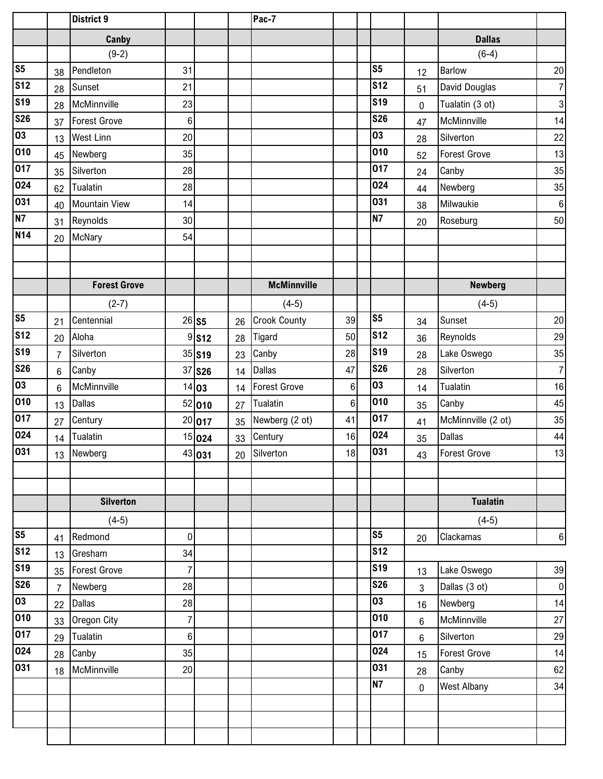|                 |                | <b>District 9</b>    |                  |               |    | Pac-7               |    |                 |    |                     |          |
|-----------------|----------------|----------------------|------------------|---------------|----|---------------------|----|-----------------|----|---------------------|----------|
|                 |                | Canby                |                  |               |    |                     |    |                 |    | <b>Dallas</b>       |          |
|                 |                | $(9-2)$              |                  |               |    |                     |    |                 |    | $(6-4)$             |          |
| S <sub>5</sub>  | 38             | Pendleton            | 31               |               |    |                     |    | S <sub>5</sub>  | 12 | <b>Barlow</b>       | 20       |
| S <sub>12</sub> | 28             | Sunset               | 21               |               |    |                     |    | S <sub>12</sub> | 51 | David Douglas       | 7        |
| <b>S19</b>      | 28             | McMinnville          | 23               |               |    |                     |    | <b>S19</b>      | 0  | Tualatin (3 ot)     | 3        |
| <b>S26</b>      | 37             | <b>Forest Grove</b>  | $\boldsymbol{6}$ |               |    |                     |    | <b>S26</b>      | 47 | McMinnville         | 14       |
| 03              | 13             | <b>West Linn</b>     | 20               |               |    |                     |    | 03              | 28 | Silverton           | 22       |
| 010             | 45             | Newberg              | 35               |               |    |                     |    | 010             | 52 | <b>Forest Grove</b> | 13       |
| 017             | 35             | Silverton            | 28               |               |    |                     |    | 017             | 24 | Canby               | 35       |
| 024             | 62             | Tualatin             | 28               |               |    |                     |    | 024             | 44 | Newberg             | 35       |
| 031             | 40             | <b>Mountain View</b> | 14               |               |    |                     |    | 031             | 38 | Milwaukie           | $6 \mid$ |
| N7              | 31             | Reynolds             | 30               |               |    |                     |    | <b>N7</b>       | 20 | Roseburg            | 50       |
| N14             | 20             | McNary               | 54               |               |    |                     |    |                 |    |                     |          |
|                 |                |                      |                  |               |    |                     |    |                 |    |                     |          |
|                 |                |                      |                  |               |    |                     |    |                 |    |                     |          |
|                 |                | <b>Forest Grove</b>  |                  |               |    | <b>McMinnville</b>  |    |                 |    | <b>Newberg</b>      |          |
|                 |                | $(2-7)$              |                  |               |    | $(4-5)$             |    |                 |    | $(4-5)$             |          |
| S <sub>5</sub>  | 21             | Centennial           |                  | $26$ S5       | 26 | <b>Crook County</b> | 39 | S <sub>5</sub>  | 34 | Sunset              | 20       |
| S <sub>12</sub> | 20             | Aloha                |                  | 9S12          | 28 | Tigard              | 50 | <b>S12</b>      | 36 | Reynolds            | 29       |
| <b>S19</b>      | $\overline{7}$ | Silverton            |                  | 35 S19        | 23 | Canby               | 28 | <b>S19</b>      | 28 | Lake Oswego         | 35       |
| <b>S26</b>      | $6\phantom{1}$ | Canby                |                  | 37 <b>S26</b> | 14 | <b>Dallas</b>       | 47 | <b>S26</b>      | 28 | Silverton           | 7        |
| 03              | $6\phantom{1}$ | McMinnville          |                  | 14 03         | 14 | <b>Forest Grove</b> | 6  | 03              | 14 | Tualatin            | 16       |
| 010             | 13             | <b>Dallas</b>        |                  | 52 010        | 27 | Tualatin            | 6  | 010             | 35 | Canby               | 45       |
| 017             | 27             | Century              |                  | 20 017        | 35 | Newberg (2 ot)      | 41 | 017             | 41 | McMinnville (2 ot)  | 35       |
| 024             | 14             | <b>Tualatin</b>      |                  | 15 024        | 33 | Century             | 16 | 024             | 35 | <b>Dallas</b>       | 44       |
| 031             |                | 13 Newberg           |                  | 43 031        |    | 20 Silverton        | 18 | 031             | 43 | <b>Forest Grove</b> | 13       |
|                 |                |                      |                  |               |    |                     |    |                 |    |                     |          |
|                 |                |                      |                  |               |    |                     |    |                 |    |                     |          |
|                 |                | <b>Silverton</b>     |                  |               |    |                     |    |                 |    | <b>Tualatin</b>     |          |
|                 |                | $(4-5)$              |                  |               |    |                     |    |                 |    | $(4-5)$             |          |
| S <sub>5</sub>  | 41             | Redmond              | 0                |               |    |                     |    | S <sub>5</sub>  | 20 | Clackamas           | 6        |
| S <sub>12</sub> | 13             | Gresham              | 34               |               |    |                     |    | <b>S12</b>      |    |                     |          |
| <b>S19</b>      | 35             | <b>Forest Grove</b>  | 7                |               |    |                     |    | <b>S19</b>      | 13 | Lake Oswego         | 39       |
| <b>S26</b>      | $\overline{7}$ | Newberg              | 28               |               |    |                     |    | <b>S26</b>      | 3  | Dallas (3 ot)       | 0        |
| $\overline{03}$ | 22             | <b>Dallas</b>        | 28               |               |    |                     |    | 03              | 16 | Newberg             | 14       |
| 010             | 33             | Oregon City          | 7                |               |    |                     |    | 010             | 6  | McMinnville         | 27       |
| 017             | 29             | Tualatin             | $6\phantom{.0}$  |               |    |                     |    | 017             | 6  | Silverton           | 29       |
| 024             | 28             | Canby                | 35               |               |    |                     |    | 024             | 15 | <b>Forest Grove</b> | 14       |
| 031             | 18             | McMinnville          | 20               |               |    |                     |    | 031             | 28 | Canby               | 62       |
|                 |                |                      |                  |               |    |                     |    | <b>N7</b>       | 0  | <b>West Albany</b>  | 34       |
|                 |                |                      |                  |               |    |                     |    |                 |    |                     |          |
|                 |                |                      |                  |               |    |                     |    |                 |    |                     |          |
|                 |                |                      |                  |               |    |                     |    |                 |    |                     |          |
|                 |                |                      |                  |               |    |                     |    |                 |    |                     |          |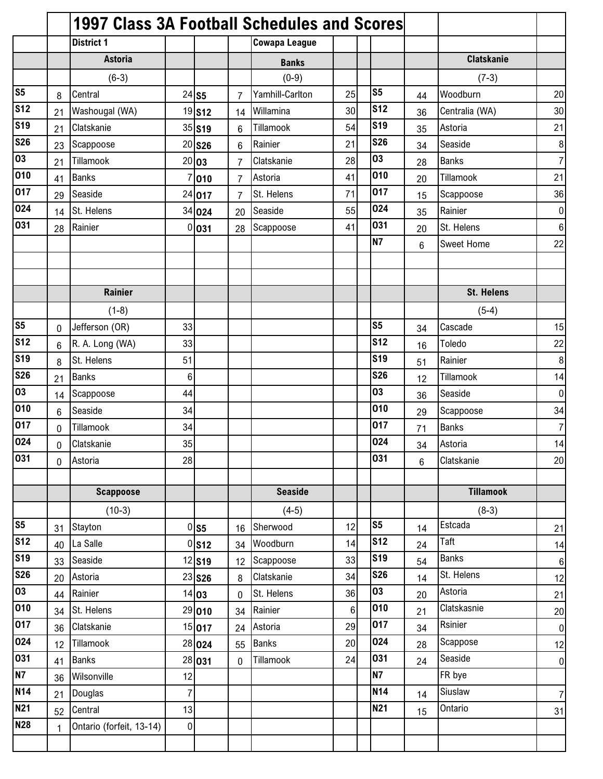|                 |                 | 1997 Class 3A Football Schedules and Scores |                |                      |                |                      |         |                |                 |                   |                  |
|-----------------|-----------------|---------------------------------------------|----------------|----------------------|----------------|----------------------|---------|----------------|-----------------|-------------------|------------------|
|                 |                 | <b>District 1</b>                           |                |                      |                | <b>Cowapa League</b> |         |                |                 |                   |                  |
|                 |                 | <b>Astoria</b>                              |                |                      |                | <b>Banks</b>         |         |                |                 | <b>Clatskanie</b> |                  |
|                 |                 | $(6-3)$                                     |                |                      |                | $(0-9)$              |         |                |                 | $(7-3)$           |                  |
| S <sub>5</sub>  | 8               | Central                                     |                | $24$ S5              | 7              | Yamhill-Carlton      | 25      | S <sub>5</sub> | 44              | Woodburn          | 20               |
| <b>S12</b>      | 21              | Washougal (WA)                              |                | 19 <b>S12</b>        | 14             | Willamina            | 30      | <b>S12</b>     | 36              | Centralia (WA)    | 30               |
| <b>S19</b>      | 21              | Clatskanie                                  |                | 35 S19               | 6              | Tillamook            | 54      | <b>S19</b>     | 35              | Astoria           | 21               |
| <b>S26</b>      | 23              | Scappoose                                   | 20             | <b>S26</b>           | 6              | Rainier              | 21      | <b>S26</b>     | 34              | Seaside           | $\boldsymbol{8}$ |
| 03              | 21              | Tillamook                                   |                | 20 03                | 7              | Clatskanie           | 28      | 03             | 28              | <b>Banks</b>      | $\overline{7}$   |
| 010             | 41              | <b>Banks</b>                                | 7              | 010                  | $\overline{7}$ | Astoria              | 41      | 010            | 20              | Tillamook         | 21               |
| 017             | 29              | Seaside                                     |                | 24 017               | $\overline{7}$ | St. Helens           | 71      | 017            | 15              | Scappoose         | 36               |
| 024             | 14              | St. Helens                                  |                | 34 024               | 20             | Seaside              | 55      | 024            | 35              | Rainier           | $\pmb{0}$        |
| 031             | 28              | Rainier                                     |                | 0 031                | 28             | Scappoose            | 41      | 031            | 20              | St. Helens        | $\boldsymbol{6}$ |
|                 |                 |                                             |                |                      |                |                      |         | <b>N7</b>      | $6\phantom{.}6$ | Sweet Home        | 22               |
|                 |                 |                                             |                |                      |                |                      |         |                |                 |                   |                  |
|                 |                 |                                             |                |                      |                |                      |         |                |                 |                   |                  |
|                 |                 | <b>Rainier</b>                              |                |                      |                |                      |         |                |                 | <b>St. Helens</b> |                  |
|                 |                 | $(1-8)$                                     |                |                      |                |                      |         |                |                 | $(5-4)$           |                  |
| S <sub>5</sub>  | $\mathbf 0$     | Jefferson (OR)                              | 33             |                      |                |                      |         | S <sub>5</sub> | 34              | Cascade           | 15               |
| <b>S12</b>      | $6\phantom{1}$  | R. A. Long (WA)                             | 33             |                      |                |                      |         | <b>S12</b>     | 16              | Toledo            | 22               |
| <b>S19</b>      | 8               | St. Helens                                  | 51             |                      |                |                      |         | <b>S19</b>     | 51              | Rainier           | $\bf 8$          |
| <b>S26</b>      | 21              | <b>Banks</b>                                | 6              |                      |                |                      |         | <b>S26</b>     | 12              | Tillamook         | 14               |
| 03              | 14              | Scappoose                                   | 44             |                      |                |                      |         | 03             | 36              | Seaside           | $\pmb{0}$        |
| 010             | $6\phantom{1}6$ | Seaside                                     | 34             |                      |                |                      |         | 010            | 29              | Scappoose         | 34               |
| 017             | $\mathbf{0}$    | Tillamook                                   | 34             |                      |                |                      |         | 017            | 71              | <b>Banks</b>      | $\overline{7}$   |
| 024             | 0               | Clatskanie                                  | 35             |                      |                |                      |         | 024            | 34              | Astoria           | 14               |
| 031             | $\mathbf 0$     | Astoria                                     | 28             |                      |                |                      |         | 031            | 6               | Clatskanie        | 20               |
|                 |                 |                                             |                |                      |                |                      |         |                |                 |                   |                  |
|                 |                 | <b>Scappoose</b>                            |                |                      |                | <b>Seaside</b>       |         |                |                 | <b>Tillamook</b>  |                  |
|                 |                 | $(10-3)$                                    |                |                      |                | $(4-5)$              |         |                |                 | $(8-3)$           |                  |
| S <sub>5</sub>  | 31              | Stayton                                     |                | $0$ S5               | 16             | Sherwood             | 12      | S <sub>5</sub> | 14              | Estcada           | 21               |
| S <sub>12</sub> | 40              | La Salle                                    |                | 0 S12                | 34             | Woodburn             | 14      | <b>S12</b>     | 24              | Taft              | 14               |
| <b>S19</b>      | 33              | Seaside                                     |                | $12$ S <sub>19</sub> | 12             | Scappoose            | 33      | <b>S19</b>     | 54              | <b>Banks</b>      | $\,6\,$          |
| <b>S26</b>      | 20              | Astoria                                     |                | $23$ S26             | 8              | Clatskanie           | 34      | <b>S26</b>     | 14              | St. Helens        | 12               |
| 03              | 44              | Rainier                                     |                | 14 03                | 0              | St. Helens           | 36      | 03             | 20              | Astoria           | 21               |
| 010             | 34              | St. Helens                                  |                | 29 010               | 34             | Rainier              | $\,6\,$ | 010            | 21              | Clatskasnie       | 20               |
| 017             | 36              | Clatskanie                                  |                | 15 017               | 24             | Astoria              | 29      | 017            | 34              | Rsinier           | $\pmb{0}$        |
| 024             | 12              | Tillamook                                   |                | 28 024               | 55             | <b>Banks</b>         | 20      | 024            | 28              | Scappose          | 12               |
| 031             | 41              | <b>Banks</b>                                |                | 28 031               | 0              | Tillamook            | 24      | 031            | 24              | Seaside           | $\pmb{0}$        |
| <b>N7</b>       | 36              | Wilsonville                                 | 12             |                      |                |                      |         | <b>N7</b>      |                 | FR bye            |                  |
| N <sub>14</sub> | 21              | Douglas                                     | $\overline{7}$ |                      |                |                      |         | <b>N14</b>     | 14              | Siuslaw           | $\overline{7}$   |
| <b>N21</b>      | 52              | Central                                     | 13             |                      |                |                      |         | <b>N21</b>     | 15              | Ontario           | 31               |
| <b>N28</b>      | $\mathbf{1}$    | Ontario (forfeit, 13-14)                    | $\pmb{0}$      |                      |                |                      |         |                |                 |                   |                  |
|                 |                 |                                             |                |                      |                |                      |         |                |                 |                   |                  |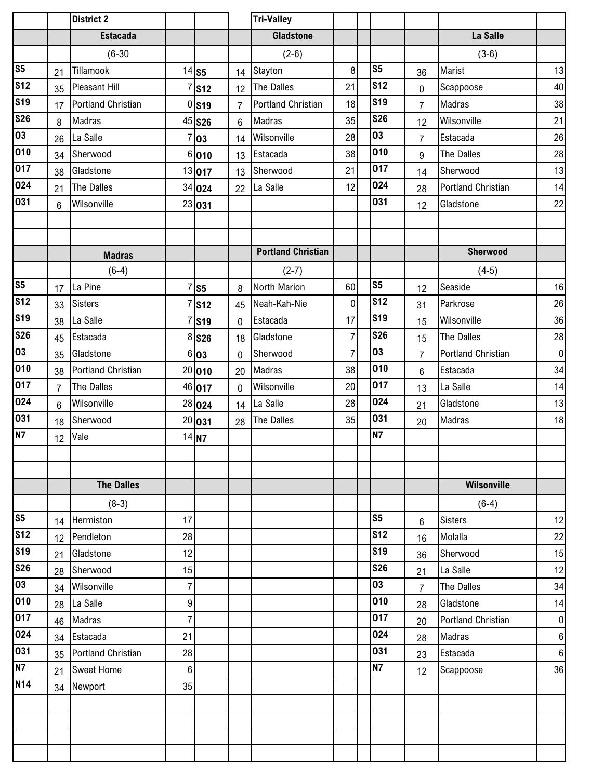|                |                | <b>District 2</b>         |    |                     |              | <b>Tri-Valley</b>         |                |                 |                |                           |           |
|----------------|----------------|---------------------------|----|---------------------|--------------|---------------------------|----------------|-----------------|----------------|---------------------------|-----------|
|                |                | <b>Estacada</b>           |    |                     |              | <b>Gladstone</b>          |                |                 |                | La Salle                  |           |
|                |                | $(6-30)$                  |    |                     |              | $(2-6)$                   |                |                 |                | $(3-6)$                   |           |
| S <sub>5</sub> | 21             | Tillamook                 |    | $14$ S5             | 14           | Stayton                   | 8              | S <sub>5</sub>  | 36             | Marist                    | 13        |
| <b>S12</b>     | 35             | <b>Pleasant Hill</b>      |    | <b>S12</b>          | 12           | The Dalles                | 21             | <b>S12</b>      | $\mathbf 0$    | Scappoose                 | 40        |
| <b>S19</b>     | 17             | <b>Portland Christian</b> |    | $0$ S <sub>19</sub> | 7            | Portland Christian        | 18             | <b>S19</b>      | $\overline{7}$ | Madras                    | 38        |
| <b>S26</b>     | 8              | Madras                    |    | 45 S26              | 6            | <b>Madras</b>             | 35             | <b>S26</b>      | 12             | Wilsonville               | 21        |
| 03             | 26             | La Salle                  | 7  | 03                  | 14           | Wilsonville               | 28             | $\overline{03}$ | $\overline{7}$ | Estacada                  | 26        |
| 010            | 34             | Sherwood                  |    | 6 010               | 13           | Estacada                  | 38             | 010             | 9              | <b>The Dalles</b>         | 28        |
| 017            | 38             | Gladstone                 |    | 13 017              | 13           | Sherwood                  | 21             | 017             | 14             | Sherwood                  | 13        |
| 024            | 21             | The Dalles                |    | 34 024              | 22           | La Salle                  | 12             | 024             | 28             | <b>Portland Christian</b> | 14        |
| 031            | 6              | Wilsonville               |    | 23 031              |              |                           |                | 031             | 12             | Gladstone                 | 22        |
|                |                |                           |    |                     |              |                           |                |                 |                |                           |           |
|                |                |                           |    |                     |              |                           |                |                 |                |                           |           |
|                |                | <b>Madras</b>             |    |                     |              | <b>Portland Christian</b> |                |                 |                | Sherwood                  |           |
|                |                | $(6-4)$                   |    |                     |              | $(2-7)$                   |                |                 |                | $(4-5)$                   |           |
| S <sub>5</sub> | 17             | La Pine                   | 7  | S <sub>5</sub>      | 8            | North Marion              | 60             | S <sub>5</sub>  | 12             | Seaside                   | 16        |
| <b>S12</b>     | 33             | <b>Sisters</b>            |    | <b>S12</b>          | 45           | Neah-Kah-Nie              | 0              | <b>S12</b>      | 31             | Parkrose                  | 26        |
| <b>S19</b>     | 38             | La Salle                  |    | <b>S19</b>          | $\mathbf{0}$ | Estacada                  | 17             | <b>S19</b>      | 15             | Wilsonville               | 36        |
| <b>S26</b>     | 45             | Estacada                  |    | 8 S26               | 18           | Gladstone                 | $\overline{7}$ | <b>S26</b>      | 15             | <b>The Dalles</b>         | 28        |
| 03             | 35             | Gladstone                 |    | 6 03                | $\mathbf{0}$ | Sherwood                  | $\overline{7}$ | 03              | $\overline{7}$ | <b>Portland Christian</b> | $\pmb{0}$ |
| 010            | 38             | Portland Christian        |    | 20 010              | 20           | Madras                    | 38             | 010             | 6              | Estacada                  | 34        |
| 017            | $\overline{7}$ | The Dalles                |    | 46 017              | 0            | Wilsonville               | 20             | 017             | 13             | La Salle                  | 14        |
| 024            | $6\phantom{.}$ | Wilsonville               |    | 28 024              | 14           | La Salle                  | 28             | 024             | 21             | Gladstone                 | 13        |
| 031            | 18             | Sherwood                  |    | 20 031              | 28           | <b>The Dalles</b>         | 35             | 031             | 20             | Madras                    | 18        |
| N7             | 12             | Vale                      |    | $14$ <sub>N7</sub>  |              |                           |                | $\overline{N7}$ |                |                           |           |
|                |                |                           |    |                     |              |                           |                |                 |                |                           |           |
|                |                |                           |    |                     |              |                           |                |                 |                |                           |           |
|                |                | <b>The Dalles</b>         |    |                     |              |                           |                |                 |                | Wilsonville               |           |
|                |                | $(8-3)$                   |    |                     |              |                           |                |                 |                | $(6-4)$                   |           |
| S <sub>5</sub> | 14             | Hermiston                 | 17 |                     |              |                           |                | S <sub>5</sub>  | 6              | <b>Sisters</b>            | 12        |
| <b>S12</b>     | 12             | Pendleton                 | 28 |                     |              |                           |                | <b>S12</b>      | 16             | Molalla                   | 22        |
| <b>S19</b>     | 21             | Gladstone                 | 12 |                     |              |                           |                | <b>S19</b>      | 36             | Sherwood                  | 15        |
| <b>S26</b>     | 28             | Sherwood                  | 15 |                     |              |                           |                | <b>S26</b>      | 21             | La Salle                  | 12        |
| 03             | 34             | Wilsonville               | 7  |                     |              |                           |                | 03              | $\overline{7}$ | The Dalles                | 34        |
| 010            | 28             | La Salle                  | 9  |                     |              |                           |                | 010             | 28             | Gladstone                 | 14        |
| 017            | 46             | Madras                    | 7  |                     |              |                           |                | 017             | 20             | Portland Christian        | $\pmb{0}$ |
| 024            | 34             | Estacada                  | 21 |                     |              |                           |                | 024             | 28             | Madras                    | 6         |
| 031            | 35             | Portland Christian        | 28 |                     |              |                           |                | 031             | 23             | Estacada                  | $\bf 6$   |
| <b>N7</b>      | 21             | <b>Sweet Home</b>         | 6  |                     |              |                           |                | <b>N7</b>       | 12             | Scappoose                 | 36        |
| <b>N14</b>     | 34             | Newport                   | 35 |                     |              |                           |                |                 |                |                           |           |
|                |                |                           |    |                     |              |                           |                |                 |                |                           |           |
|                |                |                           |    |                     |              |                           |                |                 |                |                           |           |
|                |                |                           |    |                     |              |                           |                |                 |                |                           |           |
|                |                |                           |    |                     |              |                           |                |                 |                |                           |           |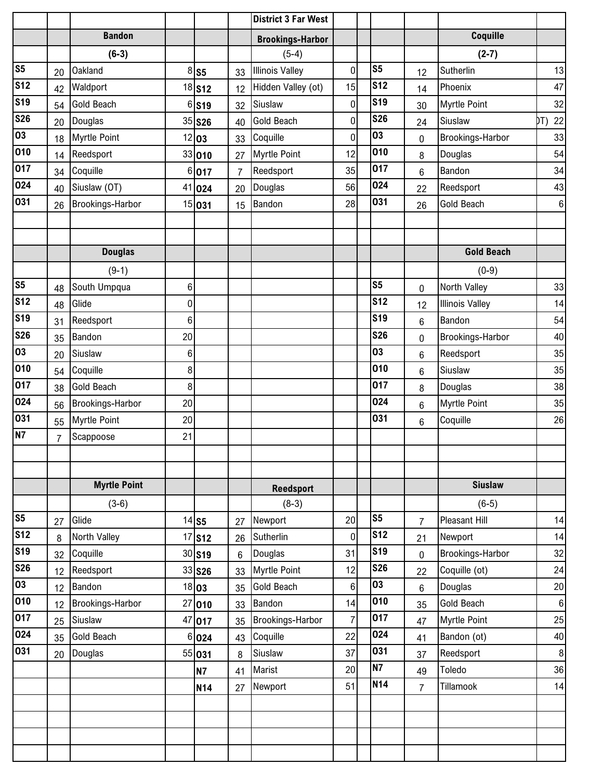|                |                |                         |                |                      |                | <b>District 3 Far West</b> |                |                |                |                        |                  |
|----------------|----------------|-------------------------|----------------|----------------------|----------------|----------------------------|----------------|----------------|----------------|------------------------|------------------|
|                |                | <b>Bandon</b>           |                |                      |                | <b>Brookings-Harbor</b>    |                |                |                | Coquille               |                  |
|                |                | $(6-3)$                 |                |                      |                | $(5-4)$                    |                |                |                | $(2-7)$                |                  |
| S <sub>5</sub> | 20             | <b>Oakland</b>          |                | $8$ S5               | 33             | <b>Illinois Valley</b>     | $\mathbf 0$    | S <sub>5</sub> | 12             | Sutherlin              | 13               |
| <b>S12</b>     | 42             | Waldport                |                | 18 <b>S12</b>        | 12             | Hidden Valley (ot)         | 15             | <b>S12</b>     | 14             | Phoenix                | 47               |
| <b>S19</b>     | 54             | <b>Gold Beach</b>       |                | 6 S <sub>19</sub>    | 32             | Siuslaw                    | 0              | <b>S19</b>     | 30             | <b>Myrtle Point</b>    | 32               |
| <b>S26</b>     | 20             | Douglas                 |                | 35 <b>S26</b>        | 40             | <b>Gold Beach</b>          | 0              | <b>S26</b>     | 24             | Siuslaw                | 22<br>DT)        |
| 03             | 18             | <b>Myrtle Point</b>     |                | 12 03                | 33             | Coquille                   | $\mathbf 0$    | 03             | 0              | Brookings-Harbor       | 33               |
| 010            | 14             | Reedsport               |                | 33 010               | 27             | <b>Myrtle Point</b>        | 12             | 010            | 8              | Douglas                | 54               |
| 017            | 34             | Coquille                | 6              | 017                  | $\overline{7}$ | Reedsport                  | 35             | 017            | 6              | Bandon                 | 34               |
| 024            | 40             | Siuslaw (OT)            |                | 41 024               | 20             | Douglas                    | 56             | 024            | 22             | Reedsport              | 43               |
| 031            | 26             | <b>Brookings-Harbor</b> |                | 15 031               | 15             | Bandon                     | 28             | 031            | 26             | Gold Beach             | $\boldsymbol{6}$ |
|                |                |                         |                |                      |                |                            |                |                |                |                        |                  |
|                |                |                         |                |                      |                |                            |                |                |                |                        |                  |
|                |                | <b>Douglas</b>          |                |                      |                |                            |                |                |                | <b>Gold Beach</b>      |                  |
|                |                | $(9-1)$                 |                |                      |                |                            |                |                |                | $(0-9)$                |                  |
| S <sub>5</sub> | 48             | South Umpqua            | $6\phantom{.}$ |                      |                |                            |                | S <sub>5</sub> | 0              | North Valley           | 33               |
| <b>S12</b>     | 48             | Glide                   | 0              |                      |                |                            |                | <b>S12</b>     | 12             | <b>Illinois Valley</b> | 14               |
| <b>S19</b>     | 31             | Reedsport               | 6              |                      |                |                            |                | <b>S19</b>     | 6              | Bandon                 | 54               |
| <b>S26</b>     | 35             | Bandon                  | 20             |                      |                |                            |                | <b>S26</b>     | 0              | Brookings-Harbor       | 40               |
| 03             | 20             | Siuslaw                 | 6              |                      |                |                            |                | 03             | 6              | Reedsport              | 35               |
| 010            | 54             | Coquille                | 8              |                      |                |                            |                | 010            | $6\phantom{1}$ | Siuslaw                | 35               |
| 017            | 38             | <b>Gold Beach</b>       | 8 <sup>1</sup> |                      |                |                            |                | 017            | 8              | Douglas                | 38               |
| 024            | 56             | Brookings-Harbor        | 20             |                      |                |                            |                | 024            | 6              | <b>Myrtle Point</b>    | 35               |
| 031            | 55             | <b>Myrtle Point</b>     | 20             |                      |                |                            |                | 031            | $6\phantom{1}$ | Coquille               | 26               |
| <b>N7</b>      | $\overline{7}$ | Scappoose               | 21             |                      |                |                            |                |                |                |                        |                  |
|                |                |                         |                |                      |                |                            |                |                |                |                        |                  |
|                |                |                         |                |                      |                |                            |                |                |                |                        |                  |
|                |                | <b>Myrtle Point</b>     |                |                      |                | <b>Reedsport</b>           |                |                |                | <b>Siuslaw</b>         |                  |
|                |                | $(3-6)$                 |                |                      |                | $(8-3)$                    |                |                |                | $(6-5)$                |                  |
| S <sub>5</sub> | 27             | Glide                   |                | $14$ S5              | 27             | Newport                    | 20             | S <sub>5</sub> | $\overline{7}$ | <b>Pleasant Hill</b>   | 14               |
| <b>S12</b>     | 8              | North Valley            |                | $17$ S12             | 26             | Sutherlin                  | $\mathbf 0$    | <b>S12</b>     | 21             | Newport                | 14               |
| <b>S19</b>     | 32             | Coquille                |                | $30$ S <sub>19</sub> | 6              | Douglas                    | 31             | <b>S19</b>     | 0              | Brookings-Harbor       | 32               |
| <b>S26</b>     | 12             | Reedsport               |                | 33 S26               | 33             | <b>Myrtle Point</b>        | 12             | <b>S26</b>     | 22             | Coquille (ot)          | 24               |
| 03             | 12             | Bandon                  |                | 18 03                | 35             | <b>Gold Beach</b>          | 6              | 03             | 6              | Douglas                | 20               |
| 010            | 12             | Brookings-Harbor        |                | 27 010               | 33             | Bandon                     | 14             | 010            | 35             | Gold Beach             | $\boldsymbol{6}$ |
| 017            | 25             | Siuslaw                 |                | 47 017               | 35             | Brookings-Harbor           | $\overline{7}$ | 017            | 47             | <b>Myrtle Point</b>    | 25               |
| 024            | 35             | <b>Gold Beach</b>       | 6              | 024                  | 43             | Coquille                   | 22             | 024            | 41             | Bandon (ot)            | 40               |
| 031            | 20             | Douglas                 |                | 55 031               | 8              | Siuslaw                    | 37             | 031            | 37             | Reedsport              | $\boldsymbol{8}$ |
|                |                |                         |                | <b>N7</b>            | 41             | Marist                     | 20             | <b>N7</b>      | 49             | Toledo                 | 36               |
|                |                |                         |                | <b>N14</b>           | 27             | Newport                    | 51             | <b>N14</b>     | 7              | Tillamook              | 14               |
|                |                |                         |                |                      |                |                            |                |                |                |                        |                  |
|                |                |                         |                |                      |                |                            |                |                |                |                        |                  |
|                |                |                         |                |                      |                |                            |                |                |                |                        |                  |
|                |                |                         |                |                      |                |                            |                |                |                |                        |                  |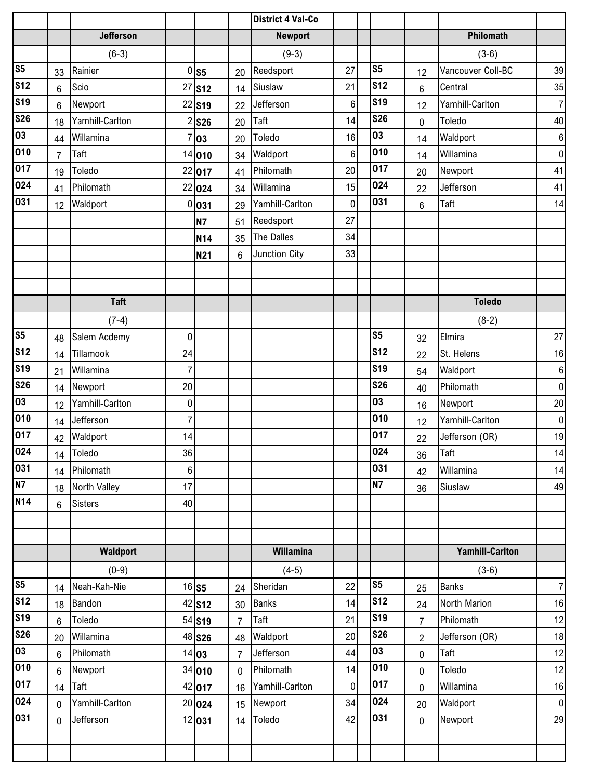|                |                 |                  |                |                      |                | <b>District 4 Val-Co</b> |             |                  |                |                        |                |
|----------------|-----------------|------------------|----------------|----------------------|----------------|--------------------------|-------------|------------------|----------------|------------------------|----------------|
|                |                 | <b>Jefferson</b> |                |                      |                | <b>Newport</b>           |             |                  |                | Philomath              |                |
|                |                 | $(6-3)$          |                |                      |                | $(9-3)$                  |             |                  |                | $(3-6)$                |                |
| S <sub>5</sub> | 33              | Rainier          |                | $0$ S5               | 20             | Reedsport                | 27          | S <sub>5</sub>   | 12             | Vancouver Coll-BC      | 39             |
| <b>S12</b>     | $6\phantom{1}$  | Scio             | 27             | $\sqrt{\text{S12}}$  | 14             | Siuslaw                  | 21          | <b>S12</b>       | $6\phantom{1}$ | Central                | 35             |
| <b>S19</b>     | 6               | Newport          |                | 22 S19               | 22             | Jefferson                | $\,6$       | <b>S19</b>       | 12             | Yamhill-Carlton        | $\overline{7}$ |
| <b>S26</b>     | 18              | Yamhill-Carlton  |                | $2$ S26              | 20             | Taft                     | 14          | <b>S26</b>       | $\pmb{0}$      | Toledo                 | 40             |
| 03             | 44              | Willamina        |                | 03                   | 20             | Toledo                   | 16          | 03               | 14             | Waldport               | $\bf 6$        |
| 010            | $\overline{7}$  | Taft             |                | 14 010               | 34             | Waldport                 | $\,6\,$     | 010              | 14             | Willamina              | $\pmb{0}$      |
| 017            | 19              | Toledo           | 22             | 017                  | 41             | Philomath                | 20          | 017              | 20             | Newport                | 41             |
| 024            | 41              | Philomath        |                | 22 024               | 34             | Willamina                | 15          | 024              | 22             | Jefferson              | 41             |
| 031            | 12              | Waldport         | 0              | 031                  | 29             | Yamhill-Carlton          | $\mathbf 0$ | 031              | 6              | Taft                   | 14             |
|                |                 |                  |                | <b>N7</b>            | 51             | Reedsport                | 27          |                  |                |                        |                |
|                |                 |                  |                | N14                  | 35             | The Dalles               | 34          |                  |                |                        |                |
|                |                 |                  |                | <b>N21</b>           | 6              | Junction City            | 33          |                  |                |                        |                |
|                |                 |                  |                |                      |                |                          |             |                  |                |                        |                |
|                |                 |                  |                |                      |                |                          |             |                  |                |                        |                |
|                |                 | <b>Taft</b>      |                |                      |                |                          |             |                  |                | <b>Toledo</b>          |                |
|                |                 | $(7-4)$          |                |                      |                |                          |             |                  |                | $(8-2)$                |                |
| S <sub>5</sub> | 48              | Salem Acdemy     | $\mathbf 0$    |                      |                |                          |             | S <sub>5</sub>   | 32             | Elmira                 | 27             |
| <b>S12</b>     | 14              | Tillamook        | 24             |                      |                |                          |             | <b>S12</b>       | 22             | St. Helens             | 16             |
| <b>S19</b>     | 21              | Willamina        | $\overline{7}$ |                      |                |                          |             | <b>S19</b>       | 54             | Waldport               | $\bf 6$        |
| <b>S26</b>     | 14              | Newport          | 20             |                      |                |                          |             | <b>S26</b>       | 40             | Philomath              | $\pmb{0}$      |
| 03             | 12              | Yamhill-Carlton  | 0              |                      |                |                          |             | 03               | 16             | Newport                | 20             |
| 010            | 14              | Jefferson        | $\overline{7}$ |                      |                |                          |             | 010              | 12             | Yamhill-Carlton        | $\pmb{0}$      |
| 017            | 42              | Waldport         | 14             |                      |                |                          |             | 017              | 22             | Jefferson (OR)         | 19             |
| 024            | 14              | Toledo           | 36             |                      |                |                          |             | 024              | 36             | Taft                   | 14             |
| 031            | 14              | Philomath        | $\,6\,$        |                      |                |                          |             | 031              | 42             | Willamina              | 14             |
| N7             | 18              | North Valley     | 17             |                      |                |                          |             | <b>N7</b>        | 36             | Siuslaw                | 49             |
| <b>N14</b>     | $6\phantom{a}$  | <b>Sisters</b>   | 40             |                      |                |                          |             |                  |                |                        |                |
|                |                 |                  |                |                      |                |                          |             |                  |                |                        |                |
|                |                 |                  |                |                      |                |                          |             |                  |                |                        |                |
|                |                 | Waldport         |                |                      |                | Willamina                |             |                  |                | <b>Yamhill-Carlton</b> |                |
|                |                 | $(0-9)$          |                |                      |                | $(4-5)$                  |             |                  |                | $(3-6)$                |                |
| S <sub>5</sub> | 14              | Neah-Kah-Nie     |                | 16 S5                | 24             | Sheridan                 | 22          | S5               | 25             | <b>Banks</b>           | $\overline{7}$ |
| <b>S12</b>     | 18              | Bandon           |                | $42$ S <sub>12</sub> | 30             | <b>Banks</b>             | 14          | <b>S12</b>       | 24             | North Marion           | 16             |
| <b>S19</b>     | $6\phantom{.}6$ | Toledo           |                | 54 S19               | $\overline{7}$ | Taft                     | 21          | <b>S19</b>       | $\overline{7}$ | Philomath              | 12             |
| <b>S26</b>     | 20              | Willamina        |                | 48 <b>S26</b>        | 48             | Waldport                 | 20          | <b>S26</b>       | $\overline{2}$ | Jefferson (OR)         | 18             |
| 03             | $6\phantom{.}6$ | Philomath        |                | 14 03                | $\overline{7}$ | Jefferson                | 44          | 03               | $\mathbf 0$    | Taft                   | 12             |
| 010            | $6\phantom{a}$  | Newport          |                | 34 010               | $\mathbf 0$    | Philomath                | 14          | 010              | 0              | Toledo                 | 12             |
| 017            | 14              | Taft             |                | 42 017               | 16             | Yamhill-Carlton          | $\mathbf 0$ | $\overline{0}17$ | $\mathbf 0$    | Willamina              | 16             |
| 024            | $\mathbf 0$     | Yamhill-Carlton  |                | 20 024               | 15             | Newport                  | 34          | 024              | 20             | Waldport               | $\pmb{0}$      |
| 031            | $\mathbf 0$     | Jefferson        |                | 12 031               | 14             | Toledo                   | 42          | 031              | $\mathbf 0$    | Newport                | 29             |
|                |                 |                  |                |                      |                |                          |             |                  |                |                        |                |
|                |                 |                  |                |                      |                |                          |             |                  |                |                        |                |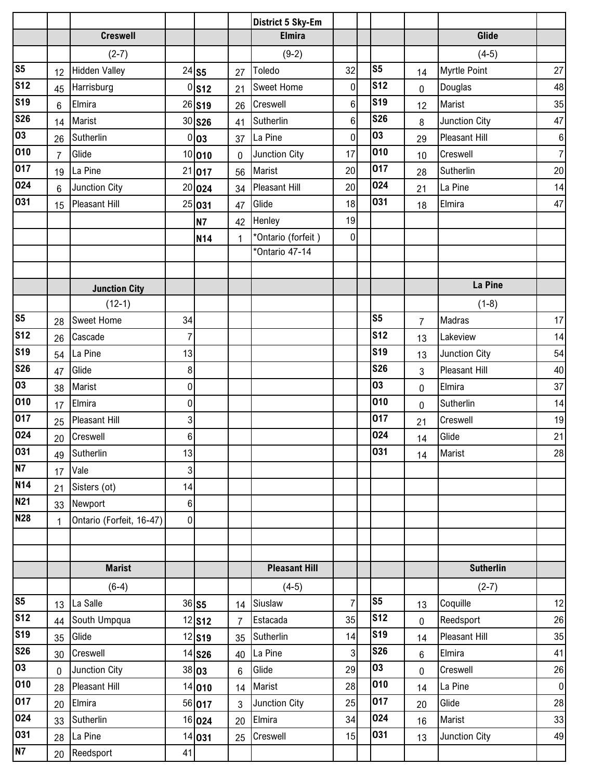|                 |                |                          |                |                      |                | <b>District 5 Sky-Em</b> |                |                |                |                      |                  |
|-----------------|----------------|--------------------------|----------------|----------------------|----------------|--------------------------|----------------|----------------|----------------|----------------------|------------------|
|                 |                | <b>Creswell</b>          |                |                      |                | <b>Elmira</b>            |                |                |                | Glide                |                  |
|                 |                | $(2-7)$                  |                |                      |                | $(9-2)$                  |                |                |                | $(4-5)$              |                  |
| S <sub>5</sub>  | 12             | <b>Hidden Valley</b>     |                | $24$ S5              | 27             | Toledo                   | 32             | S <sub>5</sub> | 14             | <b>Myrtle Point</b>  | 27               |
| <b>S12</b>      | 45             | Harrisburg               | 0              | <b>S12</b>           | 21             | <b>Sweet Home</b>        | 0              | <b>S12</b>     | $\mathbf 0$    | Douglas              | 48               |
| <b>S19</b>      | 6              | Elmira                   |                | 26 S19               | 26             | Creswell                 | 6              | <b>S19</b>     | 12             | Marist               | 35               |
| <b>S26</b>      | 14             | Marist                   |                | 30 S26               | 41             | Sutherlin                | 6              | <b>S26</b>     | 8              | <b>Junction City</b> | 47               |
| 03              | 26             | Sutherlin                |                | 0 03                 | 37             | La Pine                  | $\mathbf 0$    | 03             | 29             | <b>Pleasant Hill</b> | $\boldsymbol{6}$ |
| 010             | $\overline{7}$ | Glide                    |                | 10 010               | 0              | Junction City            | 17             | 010            | 10             | Creswell             | $\overline{7}$   |
| 017             | 19             | La Pine                  | 21             | 017                  | 56             | Marist                   | 20             | 017            | 28             | Sutherlin            | 20               |
| 024             | $6\phantom{1}$ | Junction City            |                | 20 024               | 34             | Pleasant Hill            | 20             | 024            | 21             | La Pine              | 14               |
| 031             | 15             | <b>Pleasant Hill</b>     |                | 25 031               | 47             | Glide                    | 18             | 031            | 18             | Elmira               | 47               |
|                 |                |                          |                | <b>N7</b>            | 42             | Henley                   | 19             |                |                |                      |                  |
|                 |                |                          |                | <b>N14</b>           | $\mathbf{1}$   | *Ontario (forfeit)       | 0              |                |                |                      |                  |
|                 |                |                          |                |                      |                | *Ontario 47-14           |                |                |                |                      |                  |
|                 |                |                          |                |                      |                |                          |                |                |                |                      |                  |
|                 |                | <b>Junction City</b>     |                |                      |                |                          |                |                |                | La Pine              |                  |
|                 |                | $(12-1)$                 |                |                      |                |                          |                |                |                | $(1-8)$              |                  |
| S <sub>5</sub>  | 28             | <b>Sweet Home</b>        | 34             |                      |                |                          |                | S <sub>5</sub> | $\overline{7}$ | Madras               | 17               |
| S <sub>12</sub> | 26             | Cascade                  | $\overline{7}$ |                      |                |                          |                | <b>S12</b>     | 13             | Lakeview             | 14               |
| <b>S19</b>      | 54             | La Pine                  | 13             |                      |                |                          |                | <b>S19</b>     | 13             | Junction City        | 54               |
| <b>S26</b>      | 47             | Glide                    | 8              |                      |                |                          |                | <b>S26</b>     | $\mathbf{3}$   | Pleasant Hill        | 40               |
| 03              | 38             | Marist                   | 0              |                      |                |                          |                | 03             | 0              | Elmira               | 37               |
| 010             | 17             | Elmira                   | 0              |                      |                |                          |                | 010            | 0              | Sutherlin            | 14               |
| 017             | 25             | <b>Pleasant Hill</b>     | 3              |                      |                |                          |                | 017            | 21             | Creswell             | 19               |
| 024             | 20             | Creswell                 | 6              |                      |                |                          |                | 024            | 14             | Glide                | 21               |
| 031             | 49             | Sutherlin                | 13             |                      |                |                          |                | 031            | 14             | Marist               | 28               |
| N7              | 17             | Vale                     | 3              |                      |                |                          |                |                |                |                      |                  |
| <b>N14</b>      | 21             | Sisters (ot)             | 14             |                      |                |                          |                |                |                |                      |                  |
| <b>N21</b>      | 33             | Newport                  | 6              |                      |                |                          |                |                |                |                      |                  |
| <b>N28</b>      | $\mathbf{1}$   | Ontario (Forfeit, 16-47) | $\overline{0}$ |                      |                |                          |                |                |                |                      |                  |
|                 |                |                          |                |                      |                |                          |                |                |                |                      |                  |
|                 |                |                          |                |                      |                |                          |                |                |                |                      |                  |
|                 |                | <b>Marist</b>            |                |                      |                | <b>Pleasant Hill</b>     |                |                |                | <b>Sutherlin</b>     |                  |
|                 |                | $(6-4)$                  |                |                      |                | $(4-5)$                  |                |                |                | $(2-7)$              |                  |
| S <sub>5</sub>  | 13             | La Salle                 |                | $36$ S5              | 14             | Siuslaw                  | $\overline{7}$ | S <sub>5</sub> | 13             | Coquille             | 12               |
| <b>S12</b>      | 44             | South Umpqua             |                | $12$ S12             | $\overline{7}$ | Estacada                 | 35             | <b>S12</b>     | $\mathbf 0$    | Reedsport            | 26               |
| <b>S19</b>      | 35             | Glide                    |                | $12$ S <sub>19</sub> | 35             | Sutherlin                | 14             | <b>S19</b>     | 14             | Pleasant Hill        | 35               |
| <b>S26</b>      | 30             | Creswell                 |                | 14 <b>S26</b>        | 40             | La Pine                  | 3              | <b>S26</b>     | $6\phantom{1}$ | Elmira               | 41               |
| 03              | $\mathbf 0$    | Junction City            |                | 38 03                | 6              | Glide                    | 29             | 03             | $\mathbf 0$    | Creswell             | 26               |
| 010             | 28             | <b>Pleasant Hill</b>     |                | 14 010               | 14             | Marist                   | 28             | 010            | 14             | La Pine              | $\overline{0}$   |
| 017             | 20             | Elmira                   |                | 56 017               | 3              | Junction City            | 25             | 017            | 20             | Glide                | 28               |
| 024             | 33             | Sutherlin                |                | 16 024               | 20             | Elmira                   | 34             | 024            | 16             | Marist               | 33               |
| 031             | 28             | La Pine                  |                | 14 031               | 25             | Creswell                 | 15             | 031            | 13             | Junction City        | 49               |
| N7              | 20             | Reedsport                | 41             |                      |                |                          |                |                |                |                      |                  |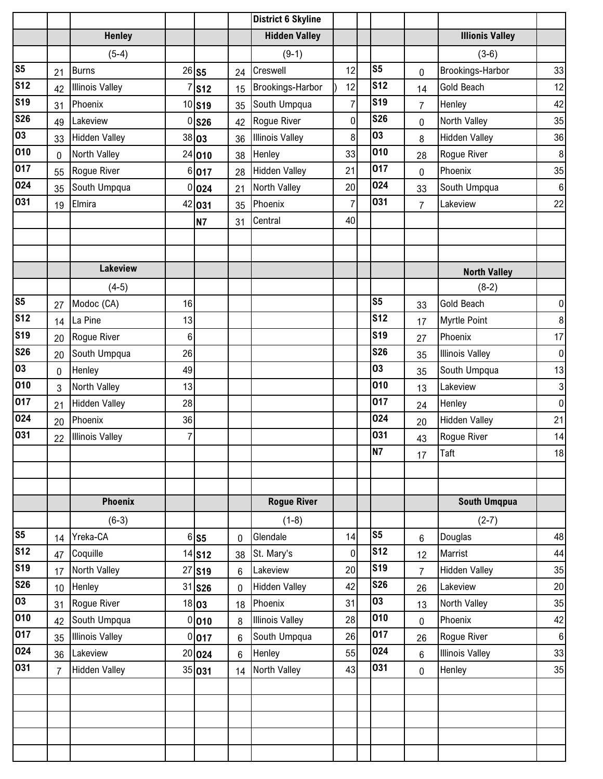|                          |                |                        |          |                    |    | <b>District 6 Skyline</b> |                |                |                |                        |                  |
|--------------------------|----------------|------------------------|----------|--------------------|----|---------------------------|----------------|----------------|----------------|------------------------|------------------|
|                          |                | <b>Henley</b>          |          |                    |    | <b>Hidden Valley</b>      |                |                |                | <b>Illionis Valley</b> |                  |
|                          |                | $(5-4)$                |          |                    |    | $(9-1)$                   |                |                |                | $(3-6)$                |                  |
| S <sub>5</sub>           | 21             | <b>Burns</b>           |          | $26$ S5            | 24 | Creswell                  | 12             | S <sub>5</sub> | 0              | Brookings-Harbor       | 33               |
| $\overline{\text{S12}}$  | 42             | <b>Illinois Valley</b> |          | <b>S12</b>         | 15 | Brookings-Harbor          | 12             | <b>S12</b>     | 14             | <b>Gold Beach</b>      | 12               |
| <b>S19</b>               | 31             | Phoenix                |          | 10 S <sub>19</sub> | 35 | South Umpqua              | $\overline{7}$ | <b>S19</b>     | $\overline{7}$ | Henley                 | 42               |
| $\overline{\text{S}}$ 26 | 49             | Lakeview               | $\Omega$ | <b>S26</b>         | 42 | Rogue River               | $\mathbf 0$    | <b>S26</b>     | 0              | North Valley           | 35               |
| 03                       | 33             | <b>Hidden Valley</b>   |          | 38 03              | 36 | <b>Illinois Valley</b>    | 8              | 03             | 8              | <b>Hidden Valley</b>   | 36               |
| 010                      | $\mathbf 0$    | North Valley           |          | 24 010             | 38 | Henley                    | 33             | 010            | 28             | Rogue River            | $\,8\,$          |
| 017                      | 55             | Rogue River            | 6        | 017                | 28 | <b>Hidden Valley</b>      | 21             | 017            | $\mathbf 0$    | Phoenix                | 35               |
| 024                      | 35             | South Umpqua           |          | 0 024              | 21 | North Valley              | 20             | 024            | 33             | South Umpqua           | $\bf 6$          |
| 031                      | 19             | Elmira                 |          | 42 031             | 35 | Phoenix                   | 7              | 031            | $\overline{7}$ | Lakeview               | 22               |
|                          |                |                        |          | <b>N7</b>          | 31 | Central                   | 40             |                |                |                        |                  |
|                          |                |                        |          |                    |    |                           |                |                |                |                        |                  |
|                          |                |                        |          |                    |    |                           |                |                |                |                        |                  |
|                          |                | <b>Lakeview</b>        |          |                    |    |                           |                |                |                | <b>North Valley</b>    |                  |
|                          |                | $(4-5)$                |          |                    |    |                           |                |                |                | $(8-2)$                |                  |
| S <sub>5</sub>           | 27             | Modoc (CA)             | 16       |                    |    |                           |                | S <sub>5</sub> | 33             | Gold Beach             | $\pmb{0}$        |
| $\overline{\text{S12}}$  | 14             | La Pine                | 13       |                    |    |                           |                | <b>S12</b>     | 17             | <b>Myrtle Point</b>    | $\bf 8$          |
| S <sub>19</sub>          | 20             | Rogue River            | 6        |                    |    |                           |                | <b>S19</b>     | 27             | Phoenix                | 17               |
| <b>S26</b>               | 20             | South Umpqua           | 26       |                    |    |                           |                | <b>S26</b>     | 35             | <b>Illinois Valley</b> | $\pmb{0}$        |
| $\overline{03}$          | 0              | Henley                 | 49       |                    |    |                           |                | 03             | 35             | South Umpqua           | 13               |
| 010                      | 3              | North Valley           | 13       |                    |    |                           |                | 010            | 13             | Lakeview               | $\sqrt{3}$       |
| 017                      | 21             | <b>Hidden Valley</b>   | 28       |                    |    |                           |                | 017            | 24             | Henley                 | $\pmb{0}$        |
| 024                      | 20             | Phoenix                | 36       |                    |    |                           |                | 024            | 20             | <b>Hidden Valley</b>   | 21               |
| 031                      | 22             | <b>Illinois Valley</b> | 7        |                    |    |                           |                | 031            | 43             | Rogue River            | 14               |
|                          |                |                        |          |                    |    |                           |                | <b>N7</b>      | 17             | <b>Taft</b>            | 18               |
|                          |                |                        |          |                    |    |                           |                |                |                |                        |                  |
|                          |                |                        |          |                    |    |                           |                |                |                |                        |                  |
|                          |                | Phoenix                |          |                    |    | <b>Rogue River</b>        |                |                |                | <b>South Umqpua</b>    |                  |
|                          |                | $(6-3)$                |          |                    |    | $(1-8)$                   |                |                |                | $(2-7)$                |                  |
| S <sub>5</sub>           | 14             | Yreka-CA               |          | $6$ S5             | 0  | Glendale                  | 14             | S <sub>5</sub> | $6\phantom{1}$ | Douglas                | 48               |
| $\overline{\text{S12}}$  | 47             | Coquille               |          | 14 <b>S12</b>      | 38 | St. Mary's                | $\mathbf 0$    | <b>S12</b>     | 12             | Marrist                | 44               |
| <b>S19</b>               | 17             | North Valley           |          | 27 S19             | 6  | Lakeview                  | 20             | <b>S19</b>     | $\overline{7}$ | <b>Hidden Valley</b>   | 35               |
| <b>S26</b>               | 10             | Henley                 |          | 31 <b>S26</b>      | 0  | <b>Hidden Valley</b>      | 42             | <b>S26</b>     | 26             | Lakeview               | 20               |
| 03                       | 31             | Rogue River            |          | 18 03              | 18 | Phoenix                   | 31             | 03             | 13             | North Valley           | 35               |
| 010                      | 42             | South Umpqua           |          | 0 010              | 8  | <b>Illinois Valley</b>    | 28             | 010            | $\mathbf 0$    | Phoenix                | 42               |
| 017                      | 35             | <b>Illinois Valley</b> |          | 0 017              | 6  | South Umpqua              | 26             | 017            | 26             | Rogue River            | $\boldsymbol{6}$ |
| 024                      | 36             | Lakeview               |          | 20 024             | 6  | Henley                    | 55             | 024            | $6\phantom{1}$ | <b>Illinois Valley</b> | 33               |
| 031                      | $\overline{7}$ | <b>Hidden Valley</b>   |          | 35 031             | 14 | North Valley              | 43             | 031            | $\mathbf 0$    | Henley                 | 35               |
|                          |                |                        |          |                    |    |                           |                |                |                |                        |                  |
|                          |                |                        |          |                    |    |                           |                |                |                |                        |                  |
|                          |                |                        |          |                    |    |                           |                |                |                |                        |                  |
|                          |                |                        |          |                    |    |                           |                |                |                |                        |                  |
|                          |                |                        |          |                    |    |                           |                |                |                |                        |                  |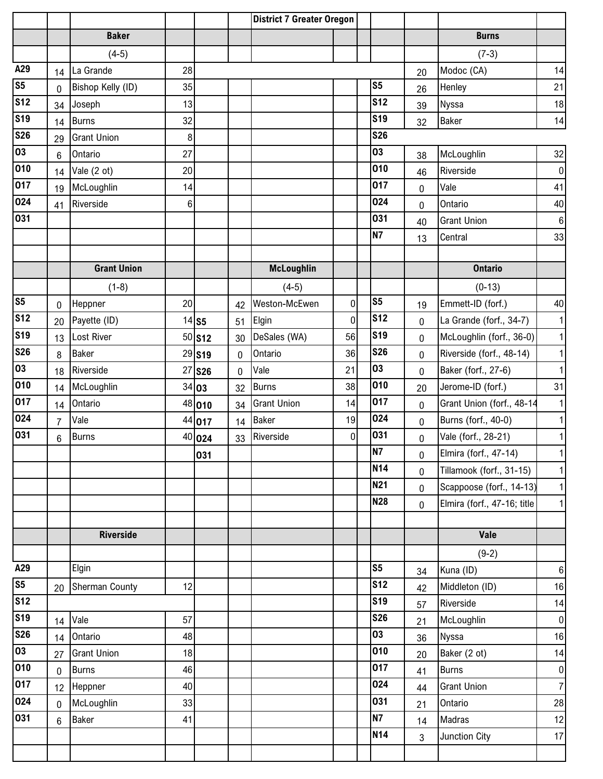|                                                                   |                |                       |    |               |             | <b>District 7 Greater Oregon</b> |                |                |                |                             |                  |
|-------------------------------------------------------------------|----------------|-----------------------|----|---------------|-------------|----------------------------------|----------------|----------------|----------------|-----------------------------|------------------|
|                                                                   |                | <b>Baker</b>          |    |               |             |                                  |                |                |                | <b>Burns</b>                |                  |
|                                                                   |                | $(4-5)$               |    |               |             |                                  |                |                |                | $(7-3)$                     |                  |
| A29                                                               | 14             | La Grande             | 28 |               |             |                                  |                |                | 20             | Modoc (CA)                  | 14               |
| S <sub>5</sub>                                                    | 0              | Bishop Kelly (ID)     | 35 |               |             |                                  |                | S <sub>5</sub> | 26             | Henley                      | 21               |
| <b>S12</b>                                                        | 34             | Joseph                | 13 |               |             |                                  |                | <b>S12</b>     | 39             | Nyssa                       | 18               |
| <b>S19</b>                                                        | 14             | <b>Burns</b>          | 32 |               |             |                                  |                | <b>S19</b>     | 32             | Baker                       | 14               |
| <b>S26</b>                                                        | 29             | <b>Grant Union</b>    | 8  |               |             |                                  |                | <b>S26</b>     |                |                             |                  |
| 03                                                                | $\,6$          | Ontario               | 27 |               |             |                                  |                | 03             | 38             | McLoughlin                  | 32               |
| $\overline{010}$                                                  | 14             | Vale (2 ot)           | 20 |               |             |                                  |                | 010            | 46             | Riverside                   | $\overline{0}$   |
| 017                                                               | 19             | McLoughlin            | 14 |               |             |                                  |                | 017            | $\mathbf 0$    | Vale                        | 41               |
| 024                                                               | 41             | Riverside             | 6  |               |             |                                  |                | 024            | 0              | Ontario                     | 40               |
| 031                                                               |                |                       |    |               |             |                                  |                | 031            | 40             | <b>Grant Union</b>          | $6 \overline{6}$ |
|                                                                   |                |                       |    |               |             |                                  |                | <b>N7</b>      | 13             | Central                     | 33               |
|                                                                   |                |                       |    |               |             |                                  |                |                |                |                             |                  |
|                                                                   |                | <b>Grant Union</b>    |    |               |             | <b>McLoughlin</b>                |                |                |                | <b>Ontario</b>              |                  |
|                                                                   |                | $(1-8)$               |    |               |             | $(4-5)$                          |                |                |                | $(0-13)$                    |                  |
| s <sub>5</sub>                                                    | $\mathbf{0}$   | Heppner               | 20 |               | 42          | Weston-McEwen                    | $\pmb{0}$      | S <sub>5</sub> | 19             | Emmett-ID (forf.)           | 40               |
| S <sub>12</sub>                                                   | 20             | Payette (ID)          |    | $14$ S5       | 51          | Elgin                            | $\mathbf 0$    | <b>S12</b>     | 0              | La Grande (forf., 34-7)     | 1                |
| $\overline{\mathsf{s}}\overline{\mathsf{1}}\overline{\mathsf{9}}$ | 13             | Lost River            |    | 50 <b>S12</b> | 30          | DeSales (WA)                     | 56             | <b>S19</b>     | 0              | McLoughlin (forf., 36-0)    | 1                |
| <b>S26</b>                                                        | 8              | <b>Baker</b>          |    | 29 S19        | 0           | Ontario                          | 36             | <b>S26</b>     | $\mathbf 0$    | Riverside (forf., 48-14)    | 1                |
| 03                                                                | 18             | Riverside             | 27 | <b>S26</b>    | $\mathbf 0$ | Vale                             | 21             | 03             | 0              | Baker (forf., 27-6)         | 1                |
| 010                                                               | 14             | McLoughlin            |    | 34 03         | 32          | <b>Burns</b>                     | 38             | 010            | 20             | Jerome-ID (forf.)           | 31               |
| 017                                                               | 14             | Ontario               |    | 48 010        | 34          | <b>Grant Union</b>               | 14             | 017            | $\mathbf 0$    | Grant Union (forf., 48-14   | 1                |
| 024                                                               | $\overline{7}$ | Vale                  |    | 44 017        | 14          | <b>Baker</b>                     | 19             | 024            | 0              | Burns (forf., 40-0)         | 1                |
| 031                                                               | 6              | <b>Burns</b>          |    | 40 024        | 33          | Riverside                        | $\overline{0}$ | 031            | 0              | Vale (forf., 28-21)         | 1                |
|                                                                   |                |                       |    | 031           |             |                                  |                | <b>N7</b>      | $\mathbf 0$    | Elmira (forf., 47-14)       | $\mathbf{1}$     |
|                                                                   |                |                       |    |               |             |                                  |                | <b>N14</b>     | $\overline{0}$ | Tillamook (forf., 31-15)    | 1                |
|                                                                   |                |                       |    |               |             |                                  |                | <b>N21</b>     | $\mathbf 0$    | Scappoose (forf., 14-13)    | 1                |
|                                                                   |                |                       |    |               |             |                                  |                | <b>N28</b>     | $\mathbf 0$    | Elmira (forf., 47-16; title | 1                |
|                                                                   |                |                       |    |               |             |                                  |                |                |                |                             |                  |
|                                                                   |                | <b>Riverside</b>      |    |               |             |                                  |                |                |                | Vale                        |                  |
|                                                                   |                |                       |    |               |             |                                  |                |                |                | $(9-2)$                     |                  |
| A29                                                               |                | Elgin                 |    |               |             |                                  |                | S <sub>5</sub> | 34             | Kuna (ID)                   | $6 \overline{6}$ |
| s <sub>5</sub>                                                    | 20             | <b>Sherman County</b> | 12 |               |             |                                  |                | <b>S12</b>     | 42             | Middleton (ID)              | 16               |
| <b>S12</b>                                                        |                |                       |    |               |             |                                  |                | <b>S19</b>     | 57             | Riverside                   | 14               |
| $\overline{\text{S19}}$                                           | 14             | Vale                  | 57 |               |             |                                  |                | <b>S26</b>     | 21             | McLoughlin                  | $\overline{0}$   |
| <b>S26</b>                                                        | 14             | Ontario               | 48 |               |             |                                  |                | 03             | 36             | Nyssa                       | 16               |
| 03                                                                | 27             | <b>Grant Union</b>    | 18 |               |             |                                  |                | 010            | 20             | Baker (2 ot)                | 14               |
| 010                                                               | $\mathbf 0$    | <b>Burns</b>          | 46 |               |             |                                  |                | 017            | 41             | <b>Burns</b>                | $\overline{0}$   |
| $\overline{017}$                                                  | 12             | Heppner               | 40 |               |             |                                  |                | 024            | 44             | <b>Grant Union</b>          | $\overline{7}$   |
| 024                                                               | $\mathbf 0$    | McLoughlin            | 33 |               |             |                                  |                | 031            | 21             | Ontario                     | 28               |
| 031                                                               | 6              | <b>Baker</b>          | 41 |               |             |                                  |                | <b>N7</b>      | 14             | Madras                      | 12               |
|                                                                   |                |                       |    |               |             |                                  |                | <b>N14</b>     | 3              | Junction City               | 17               |
|                                                                   |                |                       |    |               |             |                                  |                |                |                |                             |                  |